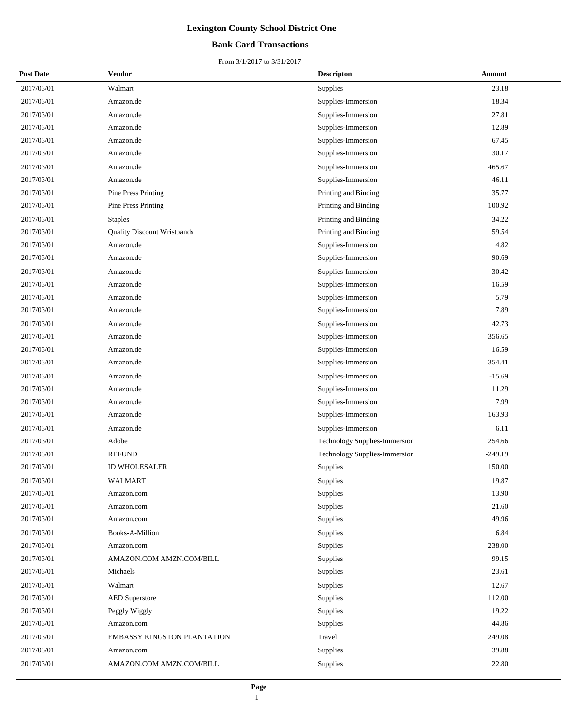## **Bank Card Transactions**

| <b>Post Date</b> | Vendor                             | <b>Descripton</b>             | Amount    |
|------------------|------------------------------------|-------------------------------|-----------|
| 2017/03/01       | Walmart                            | <b>Supplies</b>               | 23.18     |
| 2017/03/01       | Amazon.de                          | Supplies-Immersion            | 18.34     |
| 2017/03/01       | Amazon.de                          | Supplies-Immersion            | 27.81     |
| 2017/03/01       | Amazon.de                          | Supplies-Immersion            | 12.89     |
| 2017/03/01       | Amazon.de                          | Supplies-Immersion            | 67.45     |
| 2017/03/01       | Amazon.de                          | Supplies-Immersion            | 30.17     |
| 2017/03/01       | Amazon.de                          | Supplies-Immersion            | 465.67    |
| 2017/03/01       | Amazon.de                          | Supplies-Immersion            | 46.11     |
| 2017/03/01       | Pine Press Printing                | Printing and Binding          | 35.77     |
| 2017/03/01       | <b>Pine Press Printing</b>         | Printing and Binding          | 100.92    |
| 2017/03/01       | <b>Staples</b>                     | Printing and Binding          | 34.22     |
| 2017/03/01       | <b>Quality Discount Wristbands</b> | Printing and Binding          | 59.54     |
| 2017/03/01       | Amazon.de                          | Supplies-Immersion            | 4.82      |
| 2017/03/01       | Amazon.de                          | Supplies-Immersion            | 90.69     |
| 2017/03/01       | Amazon.de                          | Supplies-Immersion            | $-30.42$  |
| 2017/03/01       | Amazon.de                          | Supplies-Immersion            | 16.59     |
| 2017/03/01       | Amazon.de                          | Supplies-Immersion            | 5.79      |
| 2017/03/01       | Amazon.de                          | Supplies-Immersion            | 7.89      |
| 2017/03/01       | Amazon.de                          | Supplies-Immersion            | 42.73     |
| 2017/03/01       | Amazon.de                          | Supplies-Immersion            | 356.65    |
| 2017/03/01       | Amazon.de                          | Supplies-Immersion            | 16.59     |
| 2017/03/01       | Amazon.de                          | Supplies-Immersion            | 354.41    |
| 2017/03/01       | Amazon.de                          | Supplies-Immersion            | $-15.69$  |
| 2017/03/01       | Amazon.de                          | Supplies-Immersion            | 11.29     |
| 2017/03/01       | Amazon.de                          | Supplies-Immersion            | 7.99      |
| 2017/03/01       | Amazon.de                          | Supplies-Immersion            | 163.93    |
| 2017/03/01       | Amazon.de                          | Supplies-Immersion            | 6.11      |
| 2017/03/01       | Adobe                              | Technology Supplies-Immersion | 254.66    |
| 2017/03/01       | <b>REFUND</b>                      | Technology Supplies-Immersion | $-249.19$ |
| 2017/03/01       | <b>ID WHOLESALER</b>               | Supplies                      | 150.00    |
| 2017/03/01       | WALMART                            | Supplies                      | 19.87     |
| 2017/03/01       | Amazon.com                         | Supplies                      | 13.90     |
| 2017/03/01       | Amazon.com                         | Supplies                      | 21.60     |
| 2017/03/01       | Amazon.com                         | Supplies                      | 49.96     |
| 2017/03/01       | Books-A-Million                    | Supplies                      | 6.84      |
| 2017/03/01       | Amazon.com                         | Supplies                      | 238.00    |
| 2017/03/01       | AMAZON.COM AMZN.COM/BILL           | Supplies                      | 99.15     |
| 2017/03/01       | Michaels                           | Supplies                      | 23.61     |
| 2017/03/01       | Walmart                            | Supplies                      | 12.67     |
| 2017/03/01       | <b>AED</b> Superstore              | Supplies                      | 112.00    |
| 2017/03/01       | Peggly Wiggly                      | Supplies                      | 19.22     |
| 2017/03/01       | Amazon.com                         | Supplies                      | 44.86     |
| 2017/03/01       | <b>EMBASSY KINGSTON PLANTATION</b> | Travel                        | 249.08    |
| 2017/03/01       | Amazon.com                         | Supplies                      | 39.88     |
| 2017/03/01       | AMAZON.COM AMZN.COM/BILL           | Supplies                      | 22.80     |
|                  |                                    |                               |           |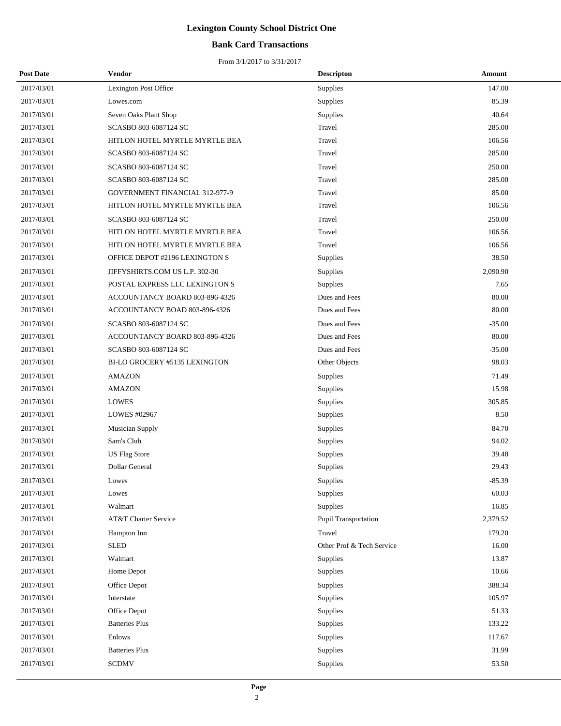## **Bank Card Transactions**

| <b>Post Date</b> | <b>Vendor</b>                  | <b>Descripton</b>         | Amount   |
|------------------|--------------------------------|---------------------------|----------|
| 2017/03/01       | Lexington Post Office          | Supplies                  | 147.00   |
| 2017/03/01       | Lowes.com                      | Supplies                  | 85.39    |
| 2017/03/01       | Seven Oaks Plant Shop          | Supplies                  | 40.64    |
| 2017/03/01       | SCASBO 803-6087124 SC          | Travel                    | 285.00   |
| 2017/03/01       | HITLON HOTEL MYRTLE MYRTLE BEA | Travel                    | 106.56   |
| 2017/03/01       | SCASBO 803-6087124 SC          | Travel                    | 285.00   |
| 2017/03/01       | SCASBO 803-6087124 SC          | Travel                    | 250.00   |
| 2017/03/01       | SCASBO 803-6087124 SC          | Travel                    | 285.00   |
| 2017/03/01       | GOVERNMENT FINANCIAL 312-977-9 | Travel                    | 85.00    |
| 2017/03/01       | HITLON HOTEL MYRTLE MYRTLE BEA | Travel                    | 106.56   |
| 2017/03/01       | SCASBO 803-6087124 SC          | Travel                    | 250.00   |
| 2017/03/01       | HITLON HOTEL MYRTLE MYRTLE BEA | Travel                    | 106.56   |
| 2017/03/01       | HITLON HOTEL MYRTLE MYRTLE BEA | Travel                    | 106.56   |
| 2017/03/01       | OFFICE DEPOT #2196 LEXINGTON S | Supplies                  | 38.50    |
| 2017/03/01       | JIFFYSHIRTS.COM US L.P. 302-30 | Supplies                  | 2,090.90 |
| 2017/03/01       | POSTAL EXPRESS LLC LEXINGTON S | Supplies                  | 7.65     |
| 2017/03/01       | ACCOUNTANCY BOARD 803-896-4326 | Dues and Fees             | 80.00    |
| 2017/03/01       | ACCOUNTANCY BOAD 803-896-4326  | Dues and Fees             | 80.00    |
| 2017/03/01       | SCASBO 803-6087124 SC          | Dues and Fees             | $-35.00$ |
| 2017/03/01       | ACCOUNTANCY BOARD 803-896-4326 | Dues and Fees             | 80.00    |
| 2017/03/01       | SCASBO 803-6087124 SC          | Dues and Fees             | $-35.00$ |
| 2017/03/01       | BI-LO GROCERY #5135 LEXINGTON  | Other Objects             | 98.03    |
| 2017/03/01       | <b>AMAZON</b>                  | Supplies                  | 71.49    |
| 2017/03/01       | <b>AMAZON</b>                  | Supplies                  | 15.98    |
| 2017/03/01       | <b>LOWES</b>                   | Supplies                  | 305.85   |
| 2017/03/01       | LOWES #02967                   | Supplies                  | 8.50     |
| 2017/03/01       | <b>Musician Supply</b>         | Supplies                  | 84.70    |
| 2017/03/01       | Sam's Club                     | Supplies                  | 94.02    |
| 2017/03/01       | <b>US Flag Store</b>           | Supplies                  | 39.48    |
| 2017/03/01       | Dollar General                 | Supplies                  | 29.43    |
| 2017/03/01       | Lowes                          | Supplies                  | $-85.39$ |
| 2017/03/01       | Lowes                          | Supplies                  | 60.03    |
| 2017/03/01       | Walmart                        | Supplies                  | 16.85    |
| 2017/03/01       | AT&T Charter Service           | Pupil Transportation      | 2,379.52 |
| 2017/03/01       | Hampton Inn                    | Travel                    | 179.20   |
| 2017/03/01       | <b>SLED</b>                    | Other Prof & Tech Service | 16.00    |
| 2017/03/01       | Walmart                        | Supplies                  | 13.87    |
| 2017/03/01       | Home Depot                     | Supplies                  | 10.66    |
| 2017/03/01       | Office Depot                   | Supplies                  | 388.34   |
| 2017/03/01       | Interstate                     | Supplies                  | 105.97   |
| 2017/03/01       | Office Depot                   | Supplies                  | 51.33    |
| 2017/03/01       | <b>Batteries Plus</b>          | Supplies                  | 133.22   |
| 2017/03/01       | Enlows                         | Supplies                  | 117.67   |
| 2017/03/01       | <b>Batteries Plus</b>          | Supplies                  | 31.99    |
| 2017/03/01       | <b>SCDMV</b>                   | Supplies                  | 53.50    |
|                  |                                |                           |          |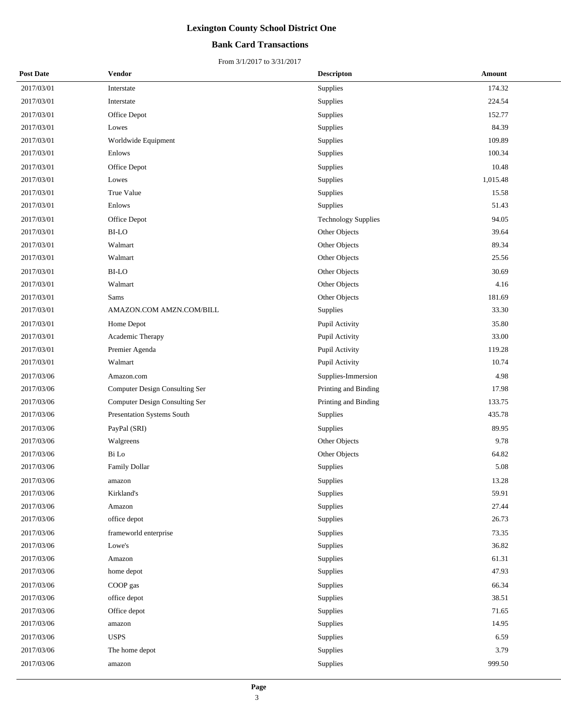## **Bank Card Transactions**

| <b>Post Date</b> | Vendor                                | <b>Descripton</b>          | Amount   |
|------------------|---------------------------------------|----------------------------|----------|
| 2017/03/01       | Interstate                            | Supplies                   | 174.32   |
| 2017/03/01       | Interstate                            | Supplies                   | 224.54   |
| 2017/03/01       | Office Depot                          | Supplies                   | 152.77   |
| 2017/03/01       | Lowes                                 | Supplies                   | 84.39    |
| 2017/03/01       | Worldwide Equipment                   | Supplies                   | 109.89   |
| 2017/03/01       | Enlows                                | Supplies                   | 100.34   |
| 2017/03/01       | Office Depot                          | Supplies                   | 10.48    |
| 2017/03/01       | Lowes                                 | Supplies                   | 1,015.48 |
| 2017/03/01       | True Value                            | Supplies                   | 15.58    |
| 2017/03/01       | Enlows                                | Supplies                   | 51.43    |
| 2017/03/01       | Office Depot                          | <b>Technology Supplies</b> | 94.05    |
| 2017/03/01       | <b>BI-LO</b>                          | Other Objects              | 39.64    |
| 2017/03/01       | Walmart                               | Other Objects              | 89.34    |
| 2017/03/01       | Walmart                               | Other Objects              | 25.56    |
| 2017/03/01       | <b>BI-LO</b>                          | Other Objects              | 30.69    |
| 2017/03/01       | Walmart                               | Other Objects              | 4.16     |
| 2017/03/01       | Sams                                  | Other Objects              | 181.69   |
| 2017/03/01       | AMAZON.COM AMZN.COM/BILL              | Supplies                   | 33.30    |
| 2017/03/01       | Home Depot                            | Pupil Activity             | 35.80    |
| 2017/03/01       | Academic Therapy                      | Pupil Activity             | 33.00    |
| 2017/03/01       | Premier Agenda                        | Pupil Activity             | 119.28   |
| 2017/03/01       | Walmart                               | Pupil Activity             | 10.74    |
| 2017/03/06       | Amazon.com                            | Supplies-Immersion         | 4.98     |
| 2017/03/06       | Computer Design Consulting Ser        | Printing and Binding       | 17.98    |
| 2017/03/06       | <b>Computer Design Consulting Ser</b> | Printing and Binding       | 133.75   |
| 2017/03/06       | Presentation Systems South            | Supplies                   | 435.78   |
| 2017/03/06       | PayPal (SRI)                          | Supplies                   | 89.95    |
| 2017/03/06       | Walgreens                             | Other Objects              | 9.78     |
| 2017/03/06       | Bi Lo                                 | Other Objects              | 64.82    |
| 2017/03/06       | <b>Family Dollar</b>                  | Supplies                   | 5.08     |
| 2017/03/06       | amazon                                | Supplies                   | 13.28    |
| 2017/03/06       | Kirkland's                            | Supplies                   | 59.91    |
| 2017/03/06       | Amazon                                | Supplies                   | 27.44    |
| 2017/03/06       | office depot                          | Supplies                   | 26.73    |
| 2017/03/06       | frameworld enterprise                 | Supplies                   | 73.35    |
| 2017/03/06       | Lowe's                                | Supplies                   | 36.82    |
| 2017/03/06       | Amazon                                | Supplies                   | 61.31    |
| 2017/03/06       | home depot                            | Supplies                   | 47.93    |
| 2017/03/06       | COOP gas                              | Supplies                   | 66.34    |
| 2017/03/06       | office depot                          | Supplies                   | 38.51    |
| 2017/03/06       | Office depot                          | Supplies                   | 71.65    |
| 2017/03/06       | amazon                                | Supplies                   | 14.95    |
| 2017/03/06       | <b>USPS</b>                           | Supplies                   | 6.59     |
| 2017/03/06       | The home depot                        | Supplies                   | 3.79     |
| 2017/03/06       | amazon                                | Supplies                   | 999.50   |
|                  |                                       |                            |          |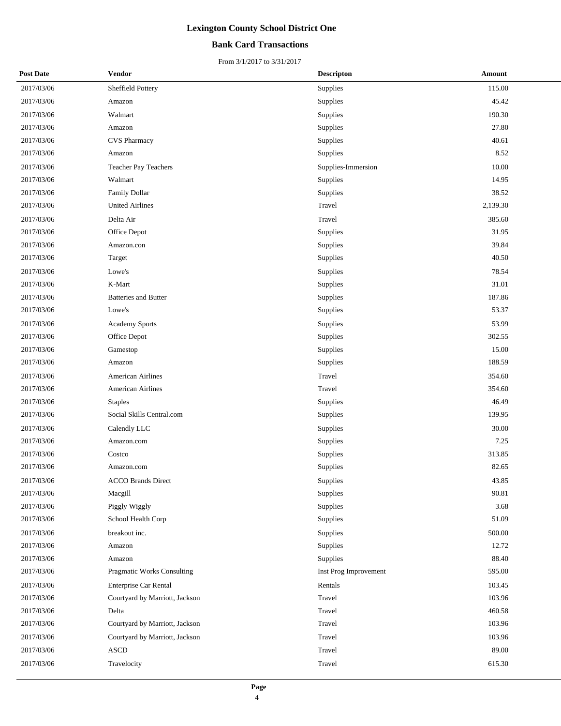## **Bank Card Transactions**

| <b>Post Date</b> | Vendor                         | <b>Descripton</b>     | Amount   |
|------------------|--------------------------------|-----------------------|----------|
| 2017/03/06       | Sheffield Pottery              | Supplies              | 115.00   |
| 2017/03/06       | Amazon                         | Supplies              | 45.42    |
| 2017/03/06       | Walmart                        | Supplies              | 190.30   |
| 2017/03/06       | Amazon                         | Supplies              | 27.80    |
| 2017/03/06       | <b>CVS Pharmacy</b>            | Supplies              | 40.61    |
| 2017/03/06       | Amazon                         | Supplies              | 8.52     |
| 2017/03/06       | Teacher Pay Teachers           | Supplies-Immersion    | 10.00    |
| 2017/03/06       | Walmart                        | Supplies              | 14.95    |
| 2017/03/06       | Family Dollar                  | Supplies              | 38.52    |
| 2017/03/06       | <b>United Airlines</b>         | Travel                | 2,139.30 |
| 2017/03/06       | Delta Air                      | Travel                | 385.60   |
| 2017/03/06       | Office Depot                   | Supplies              | 31.95    |
| 2017/03/06       | Amazon.con                     | Supplies              | 39.84    |
| 2017/03/06       | Target                         | Supplies              | 40.50    |
| 2017/03/06       | Lowe's                         | Supplies              | 78.54    |
| 2017/03/06       | K-Mart                         | Supplies              | 31.01    |
| 2017/03/06       | <b>Batteries and Butter</b>    | Supplies              | 187.86   |
| 2017/03/06       | Lowe's                         | Supplies              | 53.37    |
| 2017/03/06       | Academy Sports                 | Supplies              | 53.99    |
| 2017/03/06       | Office Depot                   | Supplies              | 302.55   |
| 2017/03/06       | Gamestop                       | Supplies              | 15.00    |
| 2017/03/06       | Amazon                         | Supplies              | 188.59   |
| 2017/03/06       | <b>American Airlines</b>       | Travel                | 354.60   |
| 2017/03/06       | <b>American Airlines</b>       | Travel                | 354.60   |
| 2017/03/06       | <b>Staples</b>                 | Supplies              | 46.49    |
| 2017/03/06       | Social Skills Central.com      | Supplies              | 139.95   |
| 2017/03/06       | Calendly LLC                   | Supplies              | 30.00    |
| 2017/03/06       | Amazon.com                     | Supplies              | 7.25     |
| 2017/03/06       | Costco                         | Supplies              | 313.85   |
| 2017/03/06       | Amazon.com                     | Supplies              | 82.65    |
| 2017/03/06       | <b>ACCO Brands Direct</b>      | Supplies              | 43.85    |
| 2017/03/06       | Macgill                        | Supplies              | 90.81    |
| 2017/03/06       | Piggly Wiggly                  | Supplies              | 3.68     |
| 2017/03/06       | School Health Corp             | Supplies              | 51.09    |
| 2017/03/06       | breakout inc.                  | Supplies              | 500.00   |
| 2017/03/06       | Amazon                         | Supplies              | 12.72    |
| 2017/03/06       | Amazon                         | Supplies              | 88.40    |
| 2017/03/06       | Pragmatic Works Consulting     | Inst Prog Improvement | 595.00   |
| 2017/03/06       | Enterprise Car Rental          | Rentals               | 103.45   |
| 2017/03/06       | Courtyard by Marriott, Jackson | Travel                | 103.96   |
| 2017/03/06       | Delta                          | Travel                | 460.58   |
| 2017/03/06       | Courtyard by Marriott, Jackson | Travel                | 103.96   |
| 2017/03/06       | Courtyard by Marriott, Jackson | Travel                | 103.96   |
| 2017/03/06       | <b>ASCD</b>                    | Travel                | 89.00    |
| 2017/03/06       | Travelocity                    | Travel                | 615.30   |
|                  |                                |                       |          |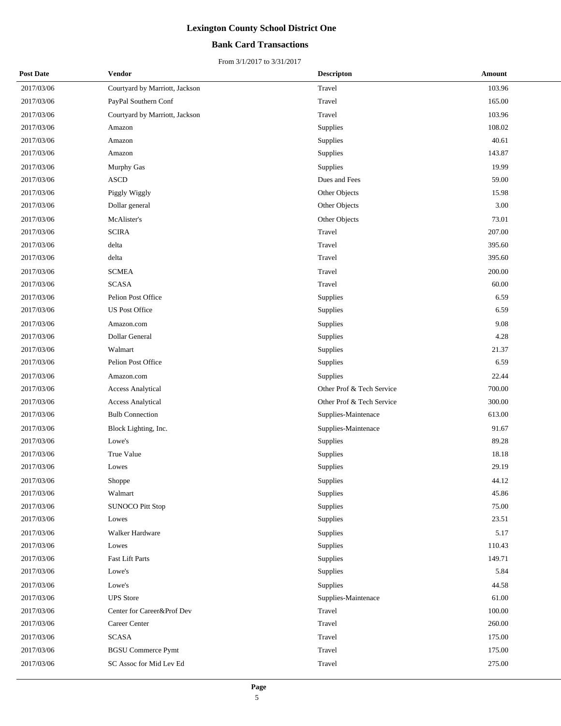## **Bank Card Transactions**

| <b>Post Date</b> | Vendor                         | <b>Descripton</b>         | Amount |
|------------------|--------------------------------|---------------------------|--------|
| 2017/03/06       | Courtyard by Marriott, Jackson | Travel                    | 103.96 |
| 2017/03/06       | PayPal Southern Conf           | Travel                    | 165.00 |
| 2017/03/06       | Courtyard by Marriott, Jackson | Travel                    | 103.96 |
| 2017/03/06       | Amazon                         | Supplies                  | 108.02 |
| 2017/03/06       | Amazon                         | Supplies                  | 40.61  |
| 2017/03/06       | Amazon                         | Supplies                  | 143.87 |
| 2017/03/06       | <b>Murphy Gas</b>              | Supplies                  | 19.99  |
| 2017/03/06       | <b>ASCD</b>                    | Dues and Fees             | 59.00  |
| 2017/03/06       | Piggly Wiggly                  | Other Objects             | 15.98  |
| 2017/03/06       | Dollar general                 | Other Objects             | 3.00   |
| 2017/03/06       | McAlister's                    | Other Objects             | 73.01  |
| 2017/03/06       | <b>SCIRA</b>                   | Travel                    | 207.00 |
| 2017/03/06       | delta                          | Travel                    | 395.60 |
| 2017/03/06       | delta                          | Travel                    | 395.60 |
| 2017/03/06       | <b>SCMEA</b>                   | Travel                    | 200.00 |
| 2017/03/06       | <b>SCASA</b>                   | Travel                    | 60.00  |
| 2017/03/06       | Pelion Post Office             | Supplies                  | 6.59   |
| 2017/03/06       | <b>US Post Office</b>          | Supplies                  | 6.59   |
| 2017/03/06       | Amazon.com                     | Supplies                  | 9.08   |
| 2017/03/06       | Dollar General                 | Supplies                  | 4.28   |
| 2017/03/06       | Walmart                        | Supplies                  | 21.37  |
| 2017/03/06       | Pelion Post Office             | Supplies                  | 6.59   |
| 2017/03/06       | Amazon.com                     | Supplies                  | 22.44  |
| 2017/03/06       | <b>Access Analytical</b>       | Other Prof & Tech Service | 700.00 |
| 2017/03/06       | <b>Access Analytical</b>       | Other Prof & Tech Service | 300.00 |
| 2017/03/06       | <b>Bulb Connection</b>         | Supplies-Maintenace       | 613.00 |
| 2017/03/06       | Block Lighting, Inc.           | Supplies-Maintenace       | 91.67  |
| 2017/03/06       | Lowe's                         | Supplies                  | 89.28  |
| 2017/03/06       | True Value                     | Supplies                  | 18.18  |
| 2017/03/06       | Lowes                          | Supplies                  | 29.19  |
| 2017/03/06       | Shoppe                         | Supplies                  | 44.12  |
| 2017/03/06       | Walmart                        | Supplies                  | 45.86  |
| 2017/03/06       | <b>SUNOCO Pitt Stop</b>        | Supplies                  | 75.00  |
| 2017/03/06       | Lowes                          | Supplies                  | 23.51  |
| 2017/03/06       | Walker Hardware                | Supplies                  | 5.17   |
| 2017/03/06       | Lowes                          | Supplies                  | 110.43 |
| 2017/03/06       | <b>Fast Lift Parts</b>         | Supplies                  | 149.71 |
| 2017/03/06       | Lowe's                         | Supplies                  | 5.84   |
| 2017/03/06       | Lowe's                         | Supplies                  | 44.58  |
| 2017/03/06       | <b>UPS</b> Store               | Supplies-Maintenace       | 61.00  |
| 2017/03/06       | Center for Career&Prof Dev     | Travel                    | 100.00 |
| 2017/03/06       | Career Center                  | Travel                    | 260.00 |
| 2017/03/06       | <b>SCASA</b>                   | Travel                    | 175.00 |
| 2017/03/06       | <b>BGSU Commerce Pymt</b>      | Travel                    | 175.00 |
| 2017/03/06       | SC Assoc for Mid Lev Ed        | Travel                    | 275.00 |
|                  |                                |                           |        |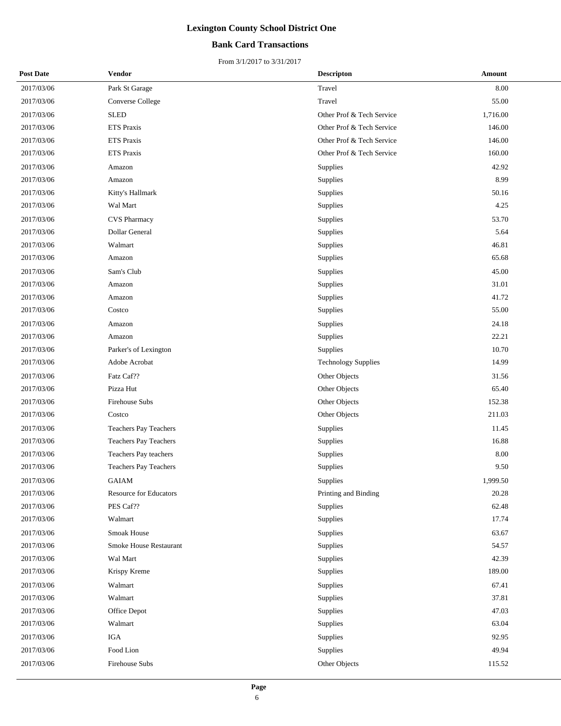## **Bank Card Transactions**

| <b>Post Date</b> | Vendor                       | <b>Descripton</b>          | Amount   |
|------------------|------------------------------|----------------------------|----------|
| 2017/03/06       | Park St Garage               | Travel                     | 8.00     |
| 2017/03/06       | <b>Converse College</b>      | Travel                     | 55.00    |
| 2017/03/06       | <b>SLED</b>                  | Other Prof & Tech Service  | 1,716.00 |
| 2017/03/06       | ETS Praxis                   | Other Prof & Tech Service  | 146.00   |
| 2017/03/06       | <b>ETS Praxis</b>            | Other Prof & Tech Service  | 146.00   |
| 2017/03/06       | <b>ETS Praxis</b>            | Other Prof & Tech Service  | 160.00   |
| 2017/03/06       | Amazon                       | Supplies                   | 42.92    |
| 2017/03/06       | Amazon                       | Supplies                   | 8.99     |
| 2017/03/06       | Kitty's Hallmark             | Supplies                   | 50.16    |
| 2017/03/06       | Wal Mart                     | Supplies                   | 4.25     |
| 2017/03/06       | <b>CVS</b> Pharmacy          | Supplies                   | 53.70    |
| 2017/03/06       | Dollar General               | Supplies                   | 5.64     |
| 2017/03/06       | Walmart                      | Supplies                   | 46.81    |
| 2017/03/06       | Amazon                       | Supplies                   | 65.68    |
| 2017/03/06       | Sam's Club                   | Supplies                   | 45.00    |
| 2017/03/06       | Amazon                       | Supplies                   | 31.01    |
| 2017/03/06       | Amazon                       | Supplies                   | 41.72    |
| 2017/03/06       | Costco                       | Supplies                   | 55.00    |
| 2017/03/06       | Amazon                       | Supplies                   | 24.18    |
| 2017/03/06       | Amazon                       | Supplies                   | 22.21    |
| 2017/03/06       | Parker's of Lexington        | Supplies                   | 10.70    |
| 2017/03/06       | Adobe Acrobat                | <b>Technology Supplies</b> | 14.99    |
| 2017/03/06       | Fatz Caf??                   | Other Objects              | 31.56    |
| 2017/03/06       | Pizza Hut                    | Other Objects              | 65.40    |
| 2017/03/06       | Firehouse Subs               | Other Objects              | 152.38   |
| 2017/03/06       | Costco                       | Other Objects              | 211.03   |
| 2017/03/06       | <b>Teachers Pay Teachers</b> | Supplies                   | 11.45    |
| 2017/03/06       | Teachers Pay Teachers        | Supplies                   | 16.88    |
| 2017/03/06       | Teachers Pay teachers        | Supplies                   | 8.00     |
| 2017/03/06       | Teachers Pay Teachers        | Supplies                   | 9.50     |
| 2017/03/06       | GAIAM                        | Supplies                   | 1,999.50 |
| 2017/03/06       | Resource for Educators       | Printing and Binding       | 20.28    |
| 2017/03/06       | PES Caf??                    | Supplies                   | 62.48    |
| 2017/03/06       | Walmart                      | Supplies                   | 17.74    |
| 2017/03/06       | Smoak House                  | Supplies                   | 63.67    |
| 2017/03/06       | Smoke House Restaurant       | Supplies                   | 54.57    |
| 2017/03/06       | Wal Mart                     | Supplies                   | 42.39    |
| 2017/03/06       | Krispy Kreme                 | Supplies                   | 189.00   |
| 2017/03/06       | Walmart                      | Supplies                   | 67.41    |
| 2017/03/06       | Walmart                      | Supplies                   | 37.81    |
| 2017/03/06       | Office Depot                 | Supplies                   | 47.03    |
| 2017/03/06       | Walmart                      | Supplies                   | 63.04    |
| 2017/03/06       | <b>IGA</b>                   | Supplies                   | 92.95    |
| 2017/03/06       | Food Lion                    | Supplies                   | 49.94    |
| 2017/03/06       | Firehouse Subs               | Other Objects              | 115.52   |
|                  |                              |                            |          |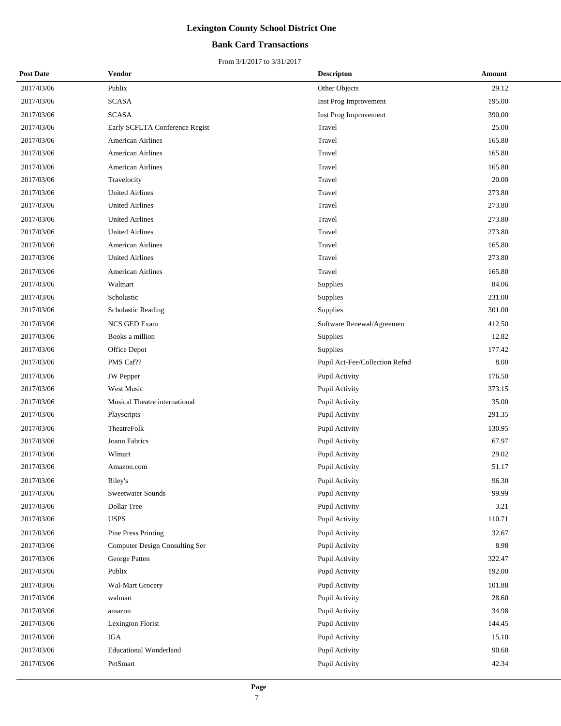## **Bank Card Transactions**

| <b>Post Date</b> | <b>Vendor</b>                  | <b>Descripton</b>              | Amount |
|------------------|--------------------------------|--------------------------------|--------|
| 2017/03/06       | Publix                         | Other Objects                  | 29.12  |
| 2017/03/06       | <b>SCASA</b>                   | Inst Prog Improvement          | 195.00 |
| 2017/03/06       | <b>SCASA</b>                   | Inst Prog Improvement          | 390.00 |
| 2017/03/06       | Early SCFLTA Conference Regist | Travel                         | 25.00  |
| 2017/03/06       | American Airlines              | Travel                         | 165.80 |
| 2017/03/06       | <b>American Airlines</b>       | Travel                         | 165.80 |
| 2017/03/06       | <b>American Airlines</b>       | Travel                         | 165.80 |
| 2017/03/06       | Travelocity                    | Travel                         | 20.00  |
| 2017/03/06       | <b>United Airlines</b>         | Travel                         | 273.80 |
| 2017/03/06       | <b>United Airlines</b>         | Travel                         | 273.80 |
| 2017/03/06       | <b>United Airlines</b>         | Travel                         | 273.80 |
| 2017/03/06       | <b>United Airlines</b>         | Travel                         | 273.80 |
| 2017/03/06       | <b>American Airlines</b>       | Travel                         | 165.80 |
| 2017/03/06       | <b>United Airlines</b>         | Travel                         | 273.80 |
| 2017/03/06       | <b>American Airlines</b>       | Travel                         | 165.80 |
| 2017/03/06       | Walmart                        | Supplies                       | 84.06  |
| 2017/03/06       | Scholastic                     | Supplies                       | 231.00 |
| 2017/03/06       | <b>Scholastic Reading</b>      | Supplies                       | 301.00 |
| 2017/03/06       | <b>NCS GED Exam</b>            | Software Renewal/Agreemen      | 412.50 |
| 2017/03/06       | Books a million                | Supplies                       | 12.82  |
| 2017/03/06       | Office Depot                   | Supplies                       | 177.42 |
| 2017/03/06       | PMS Caf??                      | Pupil Act-Fee/Collection Refnd | 8.00   |
| 2017/03/06       | <b>JW</b> Pepper               | Pupil Activity                 | 176.50 |
| 2017/03/06       | West Music                     | Pupil Activity                 | 373.15 |
| 2017/03/06       | Musical Theatre international  | Pupil Activity                 | 35.00  |
| 2017/03/06       | Playscripts                    | Pupil Activity                 | 291.35 |
| 2017/03/06       | TheatreFolk                    | Pupil Activity                 | 130.95 |
| 2017/03/06       | Joann Fabrics                  | Pupil Activity                 | 67.97  |
| 2017/03/06       | Wlmart                         | Pupil Activity                 | 29.02  |
| 2017/03/06       | Amazon.com                     | Pupil Activity                 | 51.17  |
| 2017/03/06       | Riley's                        | Pupil Activity                 | 96.30  |
| 2017/03/06       | Sweetwater Sounds              | Pupil Activity                 | 99.99  |
| 2017/03/06       | Dollar Tree                    | Pupil Activity                 | 3.21   |
| 2017/03/06       | <b>USPS</b>                    | Pupil Activity                 | 110.71 |
| 2017/03/06       | Pine Press Printing            | Pupil Activity                 | 32.67  |
| 2017/03/06       | Computer Design Consulting Ser | Pupil Activity                 | 8.98   |
| 2017/03/06       | George Patten                  | Pupil Activity                 | 322.47 |
| 2017/03/06       | Publix                         | Pupil Activity                 | 192.00 |
| 2017/03/06       | Wal-Mart Grocery               | Pupil Activity                 | 101.88 |
| 2017/03/06       | walmart                        | Pupil Activity                 | 28.60  |
| 2017/03/06       | amazon                         | Pupil Activity                 | 34.98  |
| 2017/03/06       | Lexington Florist              | Pupil Activity                 | 144.45 |
| 2017/03/06       | IGA                            | Pupil Activity                 | 15.10  |
| 2017/03/06       | <b>Educational Wonderland</b>  | Pupil Activity                 | 90.68  |
| 2017/03/06       | PetSmart                       | Pupil Activity                 | 42.34  |
|                  |                                |                                |        |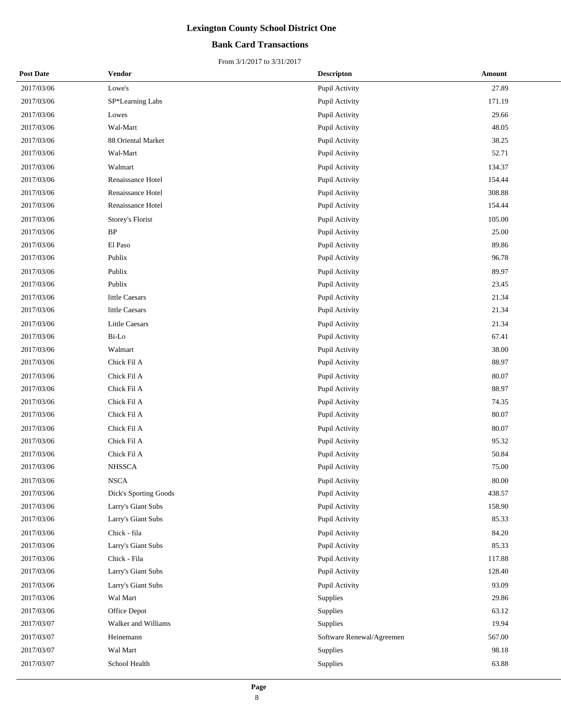## **Bank Card Transactions**

| <b>Post Date</b> | <b>Vendor</b>                | <b>Descripton</b>         | Amount |
|------------------|------------------------------|---------------------------|--------|
| 2017/03/06       | Lowe's                       | Pupil Activity            | 27.89  |
| 2017/03/06       | SP*Learning Labs             | Pupil Activity            | 171.19 |
| 2017/03/06       | Lowes                        | Pupil Activity            | 29.66  |
| 2017/03/06       | Wal-Mart                     | Pupil Activity            | 48.05  |
| 2017/03/06       | 88 Oriental Market           | Pupil Activity            | 38.25  |
| 2017/03/06       | Wal-Mart                     | Pupil Activity            | 52.71  |
| 2017/03/06       | Walmart                      | Pupil Activity            | 134.37 |
| 2017/03/06       | Renaissance Hotel            | Pupil Activity            | 154.44 |
| 2017/03/06       | Renaissance Hotel            | Pupil Activity            | 308.88 |
| 2017/03/06       | Renaissance Hotel            | Pupil Activity            | 154.44 |
| 2017/03/06       | Storey's Florist             | Pupil Activity            | 105.00 |
| 2017/03/06       | $\rm BP$                     | Pupil Activity            | 25.00  |
| 2017/03/06       | El Paso                      | Pupil Activity            | 89.86  |
| 2017/03/06       | Publix                       | Pupil Activity            | 96.78  |
| 2017/03/06       | Publix                       | Pupil Activity            | 89.97  |
| 2017/03/06       | Publix                       | Pupil Activity            | 23.45  |
| 2017/03/06       | little Caesars               | Pupil Activity            | 21.34  |
| 2017/03/06       | little Caesars               | Pupil Activity            | 21.34  |
| 2017/03/06       | <b>Little Caesars</b>        | Pupil Activity            | 21.34  |
| 2017/03/06       | Bi-Lo                        | Pupil Activity            | 67.41  |
| 2017/03/06       | Walmart                      | Pupil Activity            | 38.00  |
| 2017/03/06       | Chick Fil A                  | Pupil Activity            | 88.97  |
| 2017/03/06       | Chick Fil A                  | Pupil Activity            | 80.07  |
| 2017/03/06       | Chick Fil A                  | Pupil Activity            | 88.97  |
| 2017/03/06       | Chick Fil A                  | Pupil Activity            | 74.35  |
| 2017/03/06       | Chick Fil A                  | Pupil Activity            | 80.07  |
| 2017/03/06       | Chick Fil A                  | Pupil Activity            | 80.07  |
| 2017/03/06       | Chick Fil A                  | Pupil Activity            | 95.32  |
| 2017/03/06       | Chick Fil A                  | Pupil Activity            | 50.84  |
| 2017/03/06       | <b>NHSSCA</b>                | Pupil Activity            | 75.00  |
| 2017/03/06       | <b>NSCA</b>                  | Pupil Activity            | 80.00  |
| 2017/03/06       | <b>Dick's Sporting Goods</b> | Pupil Activity            | 438.57 |
| 2017/03/06       | Larry's Giant Subs           | Pupil Activity            | 158.90 |
| 2017/03/06       | Larry's Giant Subs           | Pupil Activity            | 85.33  |
| 2017/03/06       | Chick - fila                 | Pupil Activity            | 84.20  |
| 2017/03/06       | Larry's Giant Subs           | Pupil Activity            | 85.33  |
| 2017/03/06       | Chick - Fila                 | Pupil Activity            | 117.88 |
| 2017/03/06       | Larry's Giant Subs           | Pupil Activity            | 128.40 |
| 2017/03/06       | Larry's Giant Subs           | Pupil Activity            | 93.09  |
| 2017/03/06       | Wal Mart                     | Supplies                  | 29.86  |
| 2017/03/06       | Office Depot                 | Supplies                  | 63.12  |
| 2017/03/07       | Walker and Williams          | Supplies                  | 19.94  |
| 2017/03/07       | Heinemann                    | Software Renewal/Agreemen | 567.00 |
| 2017/03/07       | Wal Mart                     | Supplies                  | 98.18  |
| 2017/03/07       | School Health                | Supplies                  | 63.88  |
|                  |                              |                           |        |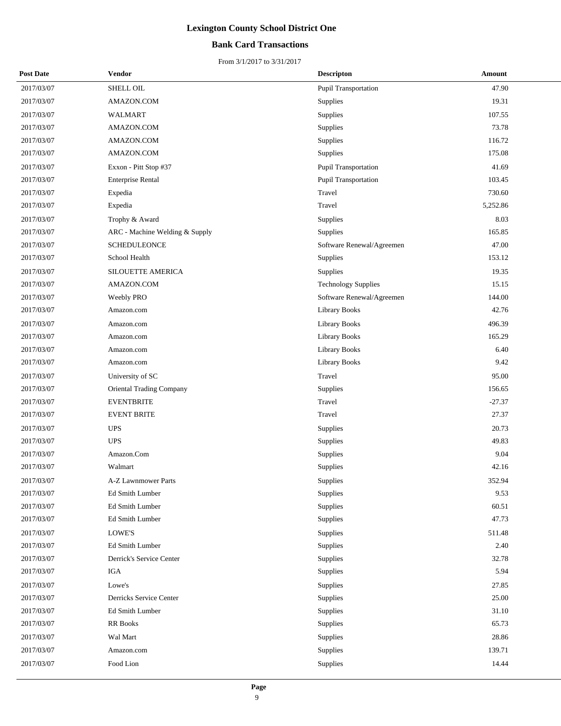## **Bank Card Transactions**

| <b>Post Date</b> | <b>Vendor</b>                  | <b>Descripton</b>           | Amount   |
|------------------|--------------------------------|-----------------------------|----------|
| 2017/03/07       | SHELL OIL                      | <b>Pupil Transportation</b> | 47.90    |
| 2017/03/07       | AMAZON.COM                     | Supplies                    | 19.31    |
| 2017/03/07       | WALMART                        | Supplies                    | 107.55   |
| 2017/03/07       | AMAZON.COM                     | Supplies                    | 73.78    |
| 2017/03/07       | AMAZON.COM                     | Supplies                    | 116.72   |
| 2017/03/07       | AMAZON.COM                     | Supplies                    | 175.08   |
| 2017/03/07       | Exxon - Pitt Stop #37          | Pupil Transportation        | 41.69    |
| 2017/03/07       | <b>Enterprise Rental</b>       | Pupil Transportation        | 103.45   |
| 2017/03/07       | Expedia                        | Travel                      | 730.60   |
| 2017/03/07       | Expedia                        | Travel                      | 5,252.86 |
| 2017/03/07       | Trophy & Award                 | Supplies                    | 8.03     |
| 2017/03/07       | ARC - Machine Welding & Supply | Supplies                    | 165.85   |
| 2017/03/07       | <b>SCHEDULEONCE</b>            | Software Renewal/Agreemen   | 47.00    |
| 2017/03/07       | School Health                  | Supplies                    | 153.12   |
| 2017/03/07       | <b>SILOUETTE AMERICA</b>       | Supplies                    | 19.35    |
| 2017/03/07       | AMAZON.COM                     | <b>Technology Supplies</b>  | 15.15    |
| 2017/03/07       | Weebly PRO                     | Software Renewal/Agreemen   | 144.00   |
| 2017/03/07       | Amazon.com                     | <b>Library Books</b>        | 42.76    |
| 2017/03/07       | Amazon.com                     | <b>Library Books</b>        | 496.39   |
| 2017/03/07       | Amazon.com                     | <b>Library Books</b>        | 165.29   |
| 2017/03/07       | Amazon.com                     | <b>Library Books</b>        | 6.40     |
| 2017/03/07       | Amazon.com                     | <b>Library Books</b>        | 9.42     |
| 2017/03/07       | University of SC               | Travel                      | 95.00    |
| 2017/03/07       | Oriental Trading Company       | Supplies                    | 156.65   |
| 2017/03/07       | <b>EVENTBRITE</b>              | Travel                      | $-27.37$ |
| 2017/03/07       | <b>EVENT BRITE</b>             | Travel                      | 27.37    |
| 2017/03/07       | <b>UPS</b>                     | Supplies                    | 20.73    |
| 2017/03/07       | <b>UPS</b>                     | Supplies                    | 49.83    |
| 2017/03/07       | Amazon.Com                     | Supplies                    | 9.04     |
| 2017/03/07       | Walmart                        | Supplies                    | 42.16    |
| 2017/03/07       | A-Z Lawnmower Parts            | Supplies                    | 352.94   |
| 2017/03/07       | Ed Smith Lumber                | Supplies                    | 9.53     |
| 2017/03/07       | Ed Smith Lumber                | <b>Supplies</b>             | 60.51    |
| 2017/03/07       | Ed Smith Lumber                | Supplies                    | 47.73    |
| 2017/03/07       | LOWE'S                         | Supplies                    | 511.48   |
| 2017/03/07       | Ed Smith Lumber                | Supplies                    | 2.40     |
| 2017/03/07       | Derrick's Service Center       | <b>Supplies</b>             | 32.78    |
| 2017/03/07       | IGA                            | Supplies                    | 5.94     |
| 2017/03/07       | Lowe's                         | Supplies                    | 27.85    |
| 2017/03/07       | Derricks Service Center        | Supplies                    | 25.00    |
| 2017/03/07       | Ed Smith Lumber                | Supplies                    | 31.10    |
| 2017/03/07       | RR Books                       | Supplies                    | 65.73    |
| 2017/03/07       | Wal Mart                       | Supplies                    | 28.86    |
| 2017/03/07       | Amazon.com                     | Supplies                    | 139.71   |
| 2017/03/07       | Food Lion                      | Supplies                    | 14.44    |
|                  |                                |                             |          |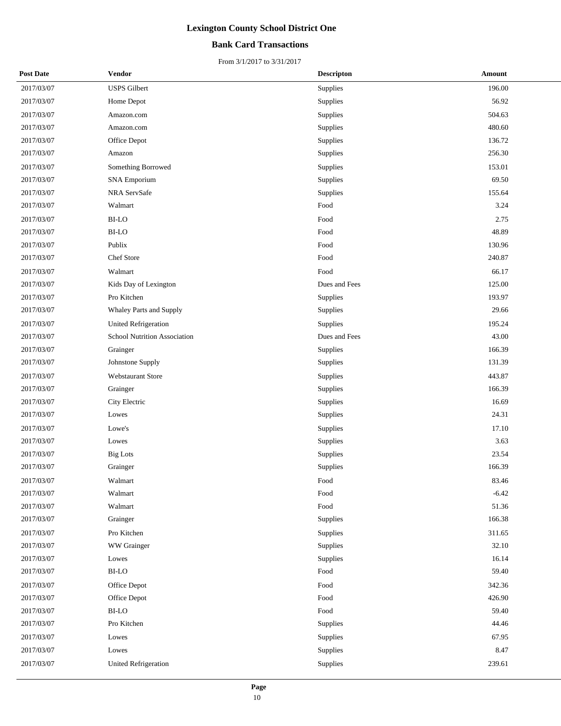## **Bank Card Transactions**

| <b>Post Date</b> | Vendor                       | <b>Descripton</b> | Amount  |
|------------------|------------------------------|-------------------|---------|
| 2017/03/07       | <b>USPS</b> Gilbert          | Supplies          | 196.00  |
| 2017/03/07       | Home Depot                   | Supplies          | 56.92   |
| 2017/03/07       | Amazon.com                   | Supplies          | 504.63  |
| 2017/03/07       | Amazon.com                   | Supplies          | 480.60  |
| 2017/03/07       | Office Depot                 | Supplies          | 136.72  |
| 2017/03/07       | Amazon                       | Supplies          | 256.30  |
| 2017/03/07       | Something Borrowed           | Supplies          | 153.01  |
| 2017/03/07       | <b>SNA Emporium</b>          | Supplies          | 69.50   |
| 2017/03/07       | NRA ServSafe                 | Supplies          | 155.64  |
| 2017/03/07       | Walmart                      | Food              | 3.24    |
| 2017/03/07       | <b>BI-LO</b>                 | Food              | 2.75    |
| 2017/03/07       | <b>BI-LO</b>                 | Food              | 48.89   |
| 2017/03/07       | Publix                       | Food              | 130.96  |
| 2017/03/07       | Chef Store                   | Food              | 240.87  |
| 2017/03/07       | Walmart                      | Food              | 66.17   |
| 2017/03/07       | Kids Day of Lexington        | Dues and Fees     | 125.00  |
| 2017/03/07       | Pro Kitchen                  | Supplies          | 193.97  |
| 2017/03/07       | Whaley Parts and Supply      | Supplies          | 29.66   |
| 2017/03/07       | <b>United Refrigeration</b>  | Supplies          | 195.24  |
| 2017/03/07       | School Nutrition Association | Dues and Fees     | 43.00   |
| 2017/03/07       | Grainger                     | Supplies          | 166.39  |
| 2017/03/07       | Johnstone Supply             | Supplies          | 131.39  |
| 2017/03/07       | Webstaurant Store            | Supplies          | 443.87  |
| 2017/03/07       | Grainger                     | Supplies          | 166.39  |
| 2017/03/07       | City Electric                | Supplies          | 16.69   |
| 2017/03/07       | Lowes                        | Supplies          | 24.31   |
| 2017/03/07       | Lowe's                       | Supplies          | 17.10   |
| 2017/03/07       | Lowes                        | Supplies          | 3.63    |
| 2017/03/07       | <b>Big Lots</b>              | Supplies          | 23.54   |
| 2017/03/07       | Grainger                     | Supplies          | 166.39  |
| 2017/03/07       | Walmart                      | Food              | 83.46   |
| 2017/03/07       | Walmart                      | Food              | $-6.42$ |
| 2017/03/07       | Walmart                      | Food              | 51.36   |
| 2017/03/07       | Grainger                     | Supplies          | 166.38  |
| 2017/03/07       | Pro Kitchen                  | Supplies          | 311.65  |
| 2017/03/07       | WW Grainger                  | Supplies          | 32.10   |
| 2017/03/07       | Lowes                        | Supplies          | 16.14   |
| 2017/03/07       | BI-LO                        | Food              | 59.40   |
| 2017/03/07       | Office Depot                 | Food              | 342.36  |
| 2017/03/07       | Office Depot                 | Food              | 426.90  |
| 2017/03/07       | $_{\rm BI\text{-}LO}$        | Food              | 59.40   |
| 2017/03/07       | Pro Kitchen                  | Supplies          | 44.46   |
| 2017/03/07       | Lowes                        | Supplies          | 67.95   |
| 2017/03/07       | Lowes                        | Supplies          | 8.47    |
| 2017/03/07       | <b>United Refrigeration</b>  | Supplies          | 239.61  |
|                  |                              |                   |         |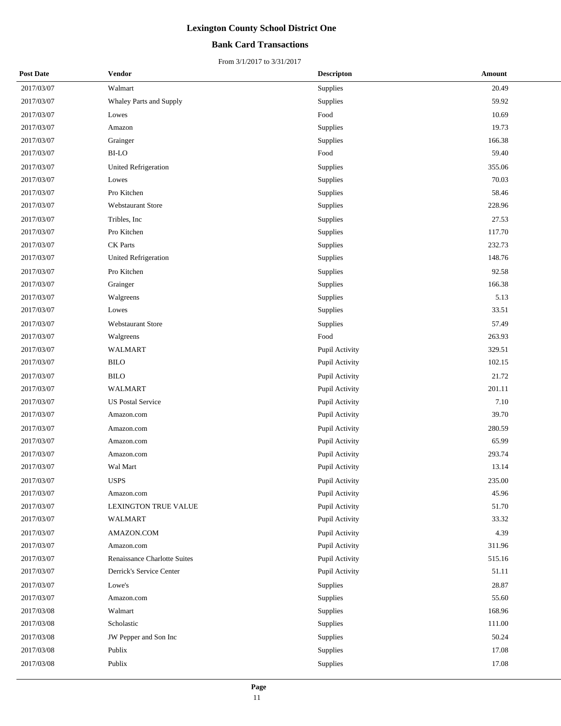## **Bank Card Transactions**

| <b>Post Date</b> | Vendor                              | <b>Descripton</b> | Amount |
|------------------|-------------------------------------|-------------------|--------|
| 2017/03/07       | Walmart                             | Supplies          | 20.49  |
| 2017/03/07       | Whaley Parts and Supply             | Supplies          | 59.92  |
| 2017/03/07       | Lowes                               | Food              | 10.69  |
| 2017/03/07       | Amazon                              | Supplies          | 19.73  |
| 2017/03/07       | Grainger                            | Supplies          | 166.38 |
| 2017/03/07       | <b>BI-LO</b>                        | Food              | 59.40  |
| 2017/03/07       | <b>United Refrigeration</b>         | Supplies          | 355.06 |
| 2017/03/07       | Lowes                               | Supplies          | 70.03  |
| 2017/03/07       | Pro Kitchen                         | Supplies          | 58.46  |
| 2017/03/07       | <b>Webstaurant Store</b>            | Supplies          | 228.96 |
| 2017/03/07       | Tribles, Inc.                       | Supplies          | 27.53  |
| 2017/03/07       | Pro Kitchen                         | Supplies          | 117.70 |
| 2017/03/07       | CK Parts                            | Supplies          | 232.73 |
| 2017/03/07       | United Refrigeration                | Supplies          | 148.76 |
| 2017/03/07       | Pro Kitchen                         | Supplies          | 92.58  |
| 2017/03/07       | Grainger                            | Supplies          | 166.38 |
| 2017/03/07       | Walgreens                           | Supplies          | 5.13   |
| 2017/03/07       | Lowes                               | Supplies          | 33.51  |
| 2017/03/07       | <b>Webstaurant Store</b>            | Supplies          | 57.49  |
| 2017/03/07       | Walgreens                           | Food              | 263.93 |
| 2017/03/07       | <b>WALMART</b>                      | Pupil Activity    | 329.51 |
| 2017/03/07       | <b>BILO</b>                         | Pupil Activity    | 102.15 |
| 2017/03/07       | <b>BILO</b>                         | Pupil Activity    | 21.72  |
| 2017/03/07       | <b>WALMART</b>                      | Pupil Activity    | 201.11 |
| 2017/03/07       | <b>US Postal Service</b>            | Pupil Activity    | 7.10   |
| 2017/03/07       | Amazon.com                          | Pupil Activity    | 39.70  |
| 2017/03/07       | Amazon.com                          | Pupil Activity    | 280.59 |
| 2017/03/07       | Amazon.com                          | Pupil Activity    | 65.99  |
| 2017/03/07       | Amazon.com                          | Pupil Activity    | 293.74 |
| 2017/03/07       | Wal Mart                            | Pupil Activity    | 13.14  |
| 2017/03/07       | <b>USPS</b>                         | Pupil Activity    | 235.00 |
| 2017/03/07       | Amazon.com                          | Pupil Activity    | 45.96  |
| 2017/03/07       | LEXINGTON TRUE VALUE                | Pupil Activity    | 51.70  |
| 2017/03/07       | <b>WALMART</b>                      | Pupil Activity    | 33.32  |
| 2017/03/07       | AMAZON.COM                          | Pupil Activity    | 4.39   |
| 2017/03/07       | Amazon.com                          | Pupil Activity    | 311.96 |
| 2017/03/07       | <b>Renaissance Charlotte Suites</b> | Pupil Activity    | 515.16 |
| 2017/03/07       | Derrick's Service Center            | Pupil Activity    | 51.11  |
| 2017/03/07       | Lowe's                              | Supplies          | 28.87  |
| 2017/03/07       | Amazon.com                          | Supplies          | 55.60  |
| 2017/03/08       | Walmart                             | Supplies          | 168.96 |
| 2017/03/08       | Scholastic                          | Supplies          | 111.00 |
| 2017/03/08       | JW Pepper and Son Inc               | Supplies          | 50.24  |
| 2017/03/08       | Publix                              | Supplies          | 17.08  |
| 2017/03/08       | Publix                              | Supplies          | 17.08  |
|                  |                                     |                   |        |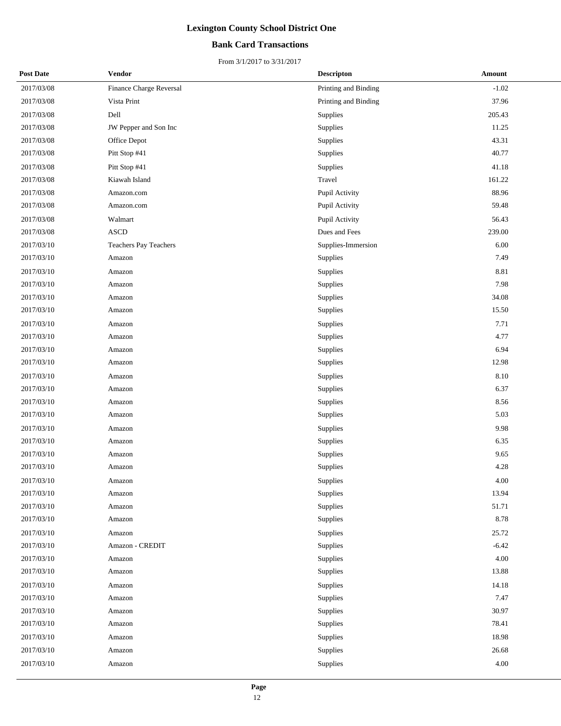## **Bank Card Transactions**

| <b>Post Date</b> | Vendor                  | <b>Descripton</b>    | <b>Amount</b> |
|------------------|-------------------------|----------------------|---------------|
| 2017/03/08       | Finance Charge Reversal | Printing and Binding | $-1.02$       |
| 2017/03/08       | Vista Print             | Printing and Binding | 37.96         |
| 2017/03/08       | Dell                    | Supplies             | 205.43        |
| 2017/03/08       | JW Pepper and Son Inc   | Supplies             | 11.25         |
| 2017/03/08       | Office Depot            | Supplies             | 43.31         |
| 2017/03/08       | Pitt Stop #41           | Supplies             | 40.77         |
| 2017/03/08       | Pitt Stop #41           | Supplies             | 41.18         |
| 2017/03/08       | Kiawah Island           | Travel               | 161.22        |
| 2017/03/08       | Amazon.com              | Pupil Activity       | 88.96         |
| 2017/03/08       | Amazon.com              | Pupil Activity       | 59.48         |
| 2017/03/08       | Walmart                 | Pupil Activity       | 56.43         |
| 2017/03/08       | <b>ASCD</b>             | Dues and Fees        | 239.00        |
| 2017/03/10       | Teachers Pay Teachers   | Supplies-Immersion   | 6.00          |
| 2017/03/10       | Amazon                  | Supplies             | 7.49          |
| 2017/03/10       | Amazon                  | Supplies             | 8.81          |
| 2017/03/10       | Amazon                  | Supplies             | 7.98          |
| 2017/03/10       | Amazon                  | Supplies             | 34.08         |
| 2017/03/10       | Amazon                  | Supplies             | 15.50         |
| 2017/03/10       | Amazon                  | <b>Supplies</b>      | 7.71          |
| 2017/03/10       | Amazon                  | Supplies             | 4.77          |
| 2017/03/10       | Amazon                  | Supplies             | 6.94          |
| 2017/03/10       | Amazon                  | Supplies             | 12.98         |
| 2017/03/10       | Amazon                  | Supplies             | 8.10          |
| 2017/03/10       | Amazon                  | Supplies             | 6.37          |
| 2017/03/10       | Amazon                  | Supplies             | 8.56          |
| 2017/03/10       | Amazon                  | Supplies             | 5.03          |
| 2017/03/10       | Amazon                  | <b>Supplies</b>      | 9.98          |
| 2017/03/10       | Amazon                  | Supplies             | 6.35          |
| 2017/03/10       | Amazon                  | Supplies             | 9.65          |
| 2017/03/10       | Amazon                  | Supplies             | 4.28          |
| 2017/03/10       | Amazon                  | Supplies             | 4.00          |
| 2017/03/10       | Amazon                  | Supplies             | 13.94         |
| 2017/03/10       | Amazon                  | Supplies             | 51.71         |
| 2017/03/10       | Amazon                  | Supplies             | 8.78          |
| 2017/03/10       | Amazon                  | Supplies             | 25.72         |
| 2017/03/10       | Amazon - CREDIT         | Supplies             | $-6.42$       |
| 2017/03/10       | Amazon                  | Supplies             | 4.00          |
| 2017/03/10       | Amazon                  | Supplies             | 13.88         |
| 2017/03/10       | Amazon                  | Supplies             | 14.18         |
| 2017/03/10       | Amazon                  | Supplies             | 7.47          |
| 2017/03/10       | Amazon                  | Supplies             | 30.97         |
| 2017/03/10       | Amazon                  | Supplies             | 78.41         |
| 2017/03/10       | Amazon                  | Supplies             | 18.98         |
| 2017/03/10       | Amazon                  | Supplies             | 26.68         |
| 2017/03/10       | Amazon                  | Supplies             | $4.00\,$      |
|                  |                         |                      |               |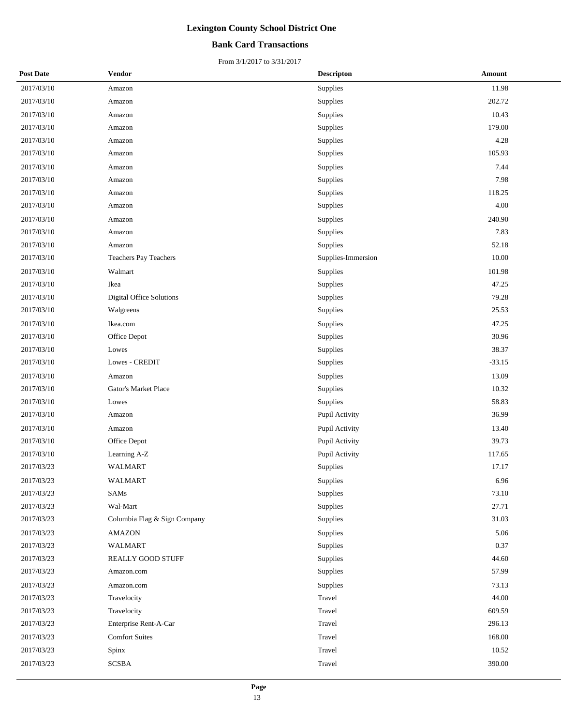## **Bank Card Transactions**

| <b>Post Date</b> | Vendor                          | <b>Descripton</b>  | Amount   |
|------------------|---------------------------------|--------------------|----------|
| 2017/03/10       | Amazon                          | Supplies           | 11.98    |
| 2017/03/10       | Amazon                          | Supplies           | 202.72   |
| 2017/03/10       | Amazon                          | Supplies           | 10.43    |
| 2017/03/10       | Amazon                          | Supplies           | 179.00   |
| 2017/03/10       | Amazon                          | Supplies           | 4.28     |
| 2017/03/10       | Amazon                          | Supplies           | 105.93   |
| 2017/03/10       | Amazon                          | Supplies           | 7.44     |
| 2017/03/10       | Amazon                          | Supplies           | 7.98     |
| 2017/03/10       | Amazon                          | Supplies           | 118.25   |
| 2017/03/10       | Amazon                          | Supplies           | 4.00     |
| 2017/03/10       | Amazon                          | Supplies           | 240.90   |
| 2017/03/10       | Amazon                          | Supplies           | 7.83     |
| 2017/03/10       | Amazon                          | Supplies           | 52.18    |
| 2017/03/10       | <b>Teachers Pay Teachers</b>    | Supplies-Immersion | 10.00    |
| 2017/03/10       | Walmart                         | Supplies           | 101.98   |
| 2017/03/10       | Ikea                            | Supplies           | 47.25    |
| 2017/03/10       | <b>Digital Office Solutions</b> | Supplies           | 79.28    |
| 2017/03/10       | Walgreens                       | Supplies           | 25.53    |
| 2017/03/10       | Ikea.com                        | Supplies           | 47.25    |
| 2017/03/10       | Office Depot                    | Supplies           | 30.96    |
| 2017/03/10       | Lowes                           | Supplies           | 38.37    |
| 2017/03/10       | Lowes - CREDIT                  | Supplies           | $-33.15$ |
| 2017/03/10       | Amazon                          | Supplies           | 13.09    |
| 2017/03/10       | <b>Gator's Market Place</b>     | Supplies           | 10.32    |
| 2017/03/10       | Lowes                           | Supplies           | 58.83    |
| 2017/03/10       | Amazon                          | Pupil Activity     | 36.99    |
| 2017/03/10       | Amazon                          | Pupil Activity     | 13.40    |
| 2017/03/10       | Office Depot                    | Pupil Activity     | 39.73    |
| 2017/03/10       | Learning A-Z                    | Pupil Activity     | 117.65   |
| 2017/03/23       | <b>WALMART</b>                  | Supplies           | 17.17    |
| 2017/03/23       | WALMART                         | Supplies           | 6.96     |
| 2017/03/23       | SAMs                            | Supplies           | 73.10    |
| 2017/03/23       | Wal-Mart                        | Supplies           | 27.71    |
| 2017/03/23       | Columbia Flag & Sign Company    | Supplies           | 31.03    |
| 2017/03/23       | <b>AMAZON</b>                   | Supplies           | 5.06     |
| 2017/03/23       | WALMART                         | Supplies           | 0.37     |
| 2017/03/23       | REALLY GOOD STUFF               | Supplies           | 44.60    |
| 2017/03/23       | Amazon.com                      | Supplies           | 57.99    |
| 2017/03/23       | Amazon.com                      | Supplies           | 73.13    |
| 2017/03/23       | Travelocity                     | Travel             | 44.00    |
| 2017/03/23       | Travelocity                     | Travel             | 609.59   |
| 2017/03/23       | Enterprise Rent-A-Car           | Travel             | 296.13   |
| 2017/03/23       | <b>Comfort Suites</b>           | Travel             | 168.00   |
| 2017/03/23       | Spinx                           | Travel             | 10.52    |
| 2017/03/23       | <b>SCSBA</b>                    | Travel             | 390.00   |
|                  |                                 |                    |          |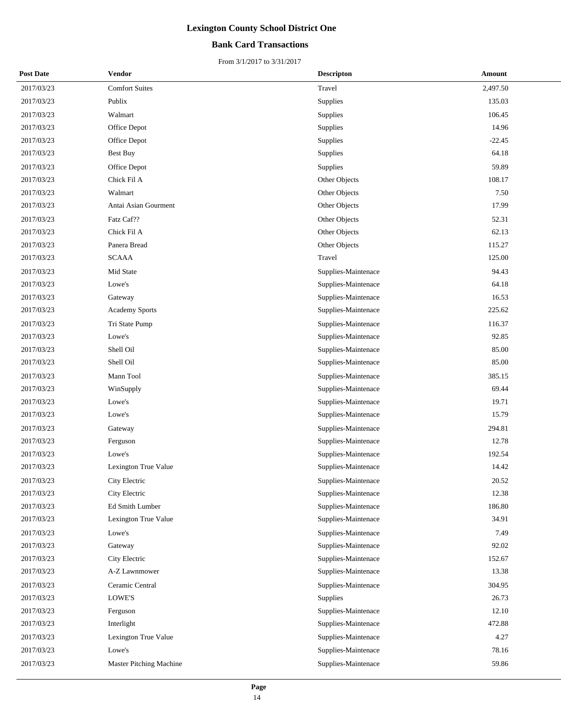## **Bank Card Transactions**

| <b>Post Date</b> | Vendor                  | <b>Descripton</b>   | Amount   |
|------------------|-------------------------|---------------------|----------|
| 2017/03/23       | <b>Comfort Suites</b>   | Travel              | 2,497.50 |
| 2017/03/23       | Publix                  | Supplies            | 135.03   |
| 2017/03/23       | Walmart                 | Supplies            | 106.45   |
| 2017/03/23       | Office Depot            | Supplies            | 14.96    |
| 2017/03/23       | Office Depot            | Supplies            | $-22.45$ |
| 2017/03/23       | Best Buy                | Supplies            | 64.18    |
| 2017/03/23       | Office Depot            | Supplies            | 59.89    |
| 2017/03/23       | Chick Fil A             | Other Objects       | 108.17   |
| 2017/03/23       | Walmart                 | Other Objects       | 7.50     |
| 2017/03/23       | Antai Asian Gourment    | Other Objects       | 17.99    |
| 2017/03/23       | Fatz Caf??              | Other Objects       | 52.31    |
| 2017/03/23       | Chick Fil A             | Other Objects       | 62.13    |
| 2017/03/23       | Panera Bread            | Other Objects       | 115.27   |
| 2017/03/23       | <b>SCAAA</b>            | Travel              | 125.00   |
| 2017/03/23       | Mid State               | Supplies-Maintenace | 94.43    |
| 2017/03/23       | Lowe's                  | Supplies-Maintenace | 64.18    |
| 2017/03/23       | Gateway                 | Supplies-Maintenace | 16.53    |
| 2017/03/23       | <b>Academy Sports</b>   | Supplies-Maintenace | 225.62   |
| 2017/03/23       | Tri State Pump          | Supplies-Maintenace | 116.37   |
| 2017/03/23       | Lowe's                  | Supplies-Maintenace | 92.85    |
| 2017/03/23       | Shell Oil               | Supplies-Maintenace | 85.00    |
| 2017/03/23       | Shell Oil               | Supplies-Maintenace | 85.00    |
| 2017/03/23       | Mann Tool               | Supplies-Maintenace | 385.15   |
| 2017/03/23       | WinSupply               | Supplies-Maintenace | 69.44    |
| 2017/03/23       | Lowe's                  | Supplies-Maintenace | 19.71    |
| 2017/03/23       | Lowe's                  | Supplies-Maintenace | 15.79    |
| 2017/03/23       | Gateway                 | Supplies-Maintenace | 294.81   |
| 2017/03/23       | Ferguson                | Supplies-Maintenace | 12.78    |
| 2017/03/23       | Lowe's                  | Supplies-Maintenace | 192.54   |
| 2017/03/23       | Lexington True Value    | Supplies-Maintenace | 14.42    |
| 2017/03/23       | City Electric           | Supplies-Maintenace | 20.52    |
| 2017/03/23       | City Electric           | Supplies-Maintenace | 12.38    |
| 2017/03/23       | Ed Smith Lumber         | Supplies-Maintenace | 186.80   |
| 2017/03/23       | Lexington True Value    | Supplies-Maintenace | 34.91    |
| 2017/03/23       | Lowe's                  | Supplies-Maintenace | 7.49     |
| 2017/03/23       | Gateway                 | Supplies-Maintenace | 92.02    |
| 2017/03/23       | City Electric           | Supplies-Maintenace | 152.67   |
| 2017/03/23       | A-Z Lawnmower           | Supplies-Maintenace | 13.38    |
| 2017/03/23       | Ceramic Central         | Supplies-Maintenace | 304.95   |
| 2017/03/23       | LOWE'S                  | Supplies            | 26.73    |
| 2017/03/23       | Ferguson                | Supplies-Maintenace | 12.10    |
| 2017/03/23       | Interlight              | Supplies-Maintenace | 472.88   |
| 2017/03/23       | Lexington True Value    | Supplies-Maintenace | 4.27     |
| 2017/03/23       | Lowe's                  | Supplies-Maintenace | 78.16    |
| 2017/03/23       | Master Pitching Machine | Supplies-Maintenace | 59.86    |
|                  |                         |                     |          |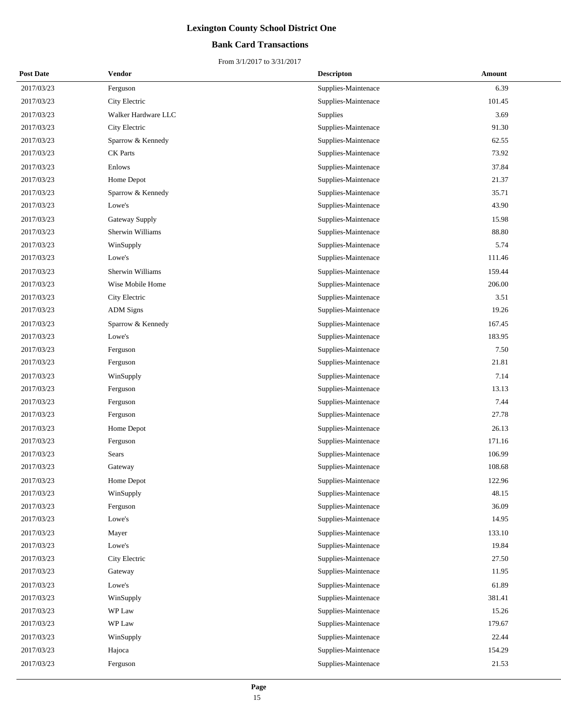## **Bank Card Transactions**

| <b>Post Date</b> | <b>Vendor</b>       | <b>Descripton</b>   | Amount |
|------------------|---------------------|---------------------|--------|
| 2017/03/23       | Ferguson            | Supplies-Maintenace | 6.39   |
| 2017/03/23       | City Electric       | Supplies-Maintenace | 101.45 |
| 2017/03/23       | Walker Hardware LLC | Supplies            | 3.69   |
| 2017/03/23       | City Electric       | Supplies-Maintenace | 91.30  |
| 2017/03/23       | Sparrow & Kennedy   | Supplies-Maintenace | 62.55  |
| 2017/03/23       | <b>CK</b> Parts     | Supplies-Maintenace | 73.92  |
| 2017/03/23       | Enlows              | Supplies-Maintenace | 37.84  |
| 2017/03/23       | Home Depot          | Supplies-Maintenace | 21.37  |
| 2017/03/23       | Sparrow & Kennedy   | Supplies-Maintenace | 35.71  |
| 2017/03/23       | Lowe's              | Supplies-Maintenace | 43.90  |
| 2017/03/23       | Gateway Supply      | Supplies-Maintenace | 15.98  |
| 2017/03/23       | Sherwin Williams    | Supplies-Maintenace | 88.80  |
| 2017/03/23       | WinSupply           | Supplies-Maintenace | 5.74   |
| 2017/03/23       | Lowe's              | Supplies-Maintenace | 111.46 |
| 2017/03/23       | Sherwin Williams    | Supplies-Maintenace | 159.44 |
| 2017/03/23       | Wise Mobile Home    | Supplies-Maintenace | 206.00 |
| 2017/03/23       | City Electric       | Supplies-Maintenace | 3.51   |
| 2017/03/23       | <b>ADM</b> Signs    | Supplies-Maintenace | 19.26  |
| 2017/03/23       | Sparrow & Kennedy   | Supplies-Maintenace | 167.45 |
| 2017/03/23       | Lowe's              | Supplies-Maintenace | 183.95 |
| 2017/03/23       | Ferguson            | Supplies-Maintenace | 7.50   |
| 2017/03/23       | Ferguson            | Supplies-Maintenace | 21.81  |
| 2017/03/23       | WinSupply           | Supplies-Maintenace | 7.14   |
| 2017/03/23       | Ferguson            | Supplies-Maintenace | 13.13  |
| 2017/03/23       | Ferguson            | Supplies-Maintenace | 7.44   |
| 2017/03/23       | Ferguson            | Supplies-Maintenace | 27.78  |
| 2017/03/23       | Home Depot          | Supplies-Maintenace | 26.13  |
| 2017/03/23       | Ferguson            | Supplies-Maintenace | 171.16 |
| 2017/03/23       | Sears               | Supplies-Maintenace | 106.99 |
| 2017/03/23       | Gateway             | Supplies-Maintenace | 108.68 |
| 2017/03/23       | Home Depot          | Supplies-Maintenace | 122.96 |
| 2017/03/23       | WinSupply           | Supplies-Maintenace | 48.15  |
| 2017/03/23       | Ferguson            | Supplies-Maintenace | 36.09  |
| 2017/03/23       | Lowe's              | Supplies-Maintenace | 14.95  |
| 2017/03/23       | Mayer               | Supplies-Maintenace | 133.10 |
| 2017/03/23       | Lowe's              | Supplies-Maintenace | 19.84  |
| 2017/03/23       | City Electric       | Supplies-Maintenace | 27.50  |
| 2017/03/23       | Gateway             | Supplies-Maintenace | 11.95  |
| 2017/03/23       | Lowe's              | Supplies-Maintenace | 61.89  |
| 2017/03/23       | WinSupply           | Supplies-Maintenace | 381.41 |
| 2017/03/23       | WP Law              | Supplies-Maintenace | 15.26  |
| 2017/03/23       | WP Law              | Supplies-Maintenace | 179.67 |
| 2017/03/23       | WinSupply           | Supplies-Maintenace | 22.44  |
| 2017/03/23       | Hajoca              | Supplies-Maintenace | 154.29 |
| 2017/03/23       | Ferguson            | Supplies-Maintenace | 21.53  |
|                  |                     |                     |        |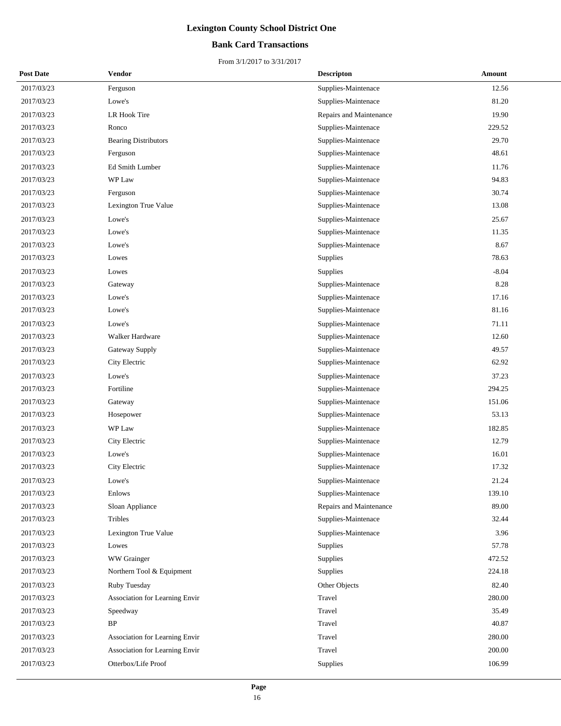## **Bank Card Transactions**

| <b>Post Date</b> | <b>Vendor</b>                  | <b>Descripton</b>       | Amount  |
|------------------|--------------------------------|-------------------------|---------|
| 2017/03/23       | Ferguson                       | Supplies-Maintenace     | 12.56   |
| 2017/03/23       | Lowe's                         | Supplies-Maintenace     | 81.20   |
| 2017/03/23       | LR Hook Tire                   | Repairs and Maintenance | 19.90   |
| 2017/03/23       | Ronco                          | Supplies-Maintenace     | 229.52  |
| 2017/03/23       | <b>Bearing Distributors</b>    | Supplies-Maintenace     | 29.70   |
| 2017/03/23       | Ferguson                       | Supplies-Maintenace     | 48.61   |
| 2017/03/23       | <b>Ed Smith Lumber</b>         | Supplies-Maintenace     | 11.76   |
| 2017/03/23       | WP Law                         | Supplies-Maintenace     | 94.83   |
| 2017/03/23       | Ferguson                       | Supplies-Maintenace     | 30.74   |
| 2017/03/23       | Lexington True Value           | Supplies-Maintenace     | 13.08   |
| 2017/03/23       | Lowe's                         | Supplies-Maintenace     | 25.67   |
| 2017/03/23       | Lowe's                         | Supplies-Maintenace     | 11.35   |
| 2017/03/23       | Lowe's                         | Supplies-Maintenace     | 8.67    |
| 2017/03/23       | Lowes                          | Supplies                | 78.63   |
| 2017/03/23       | Lowes                          | Supplies                | $-8.04$ |
| 2017/03/23       | Gateway                        | Supplies-Maintenace     | 8.28    |
| 2017/03/23       | Lowe's                         | Supplies-Maintenace     | 17.16   |
| 2017/03/23       | Lowe's                         | Supplies-Maintenace     | 81.16   |
| 2017/03/23       | Lowe's                         | Supplies-Maintenace     | 71.11   |
| 2017/03/23       | Walker Hardware                | Supplies-Maintenace     | 12.60   |
| 2017/03/23       | Gateway Supply                 | Supplies-Maintenace     | 49.57   |
| 2017/03/23       | City Electric                  | Supplies-Maintenace     | 62.92   |
| 2017/03/23       | Lowe's                         | Supplies-Maintenace     | 37.23   |
| 2017/03/23       | Fortiline                      | Supplies-Maintenace     | 294.25  |
| 2017/03/23       | Gateway                        | Supplies-Maintenace     | 151.06  |
| 2017/03/23       | Hosepower                      | Supplies-Maintenace     | 53.13   |
| 2017/03/23       | WP Law                         | Supplies-Maintenace     | 182.85  |
| 2017/03/23       | City Electric                  | Supplies-Maintenace     | 12.79   |
| 2017/03/23       | Lowe's                         | Supplies-Maintenace     | 16.01   |
| 2017/03/23       | City Electric                  | Supplies-Maintenace     | 17.32   |
| 2017/03/23       | Lowe's                         | Supplies-Maintenace     | 21.24   |
| 2017/03/23       | Enlows                         | Supplies-Maintenace     | 139.10  |
| 2017/03/23       | Sloan Appliance                | Repairs and Maintenance | 89.00   |
| 2017/03/23       | Tribles                        | Supplies-Maintenace     | 32.44   |
| 2017/03/23       | Lexington True Value           | Supplies-Maintenace     | 3.96    |
| 2017/03/23       | Lowes                          | Supplies                | 57.78   |
| 2017/03/23       | WW Grainger                    | Supplies                | 472.52  |
| 2017/03/23       | Northern Tool & Equipment      | Supplies                | 224.18  |
| 2017/03/23       | Ruby Tuesday                   | Other Objects           | 82.40   |
| 2017/03/23       | Association for Learning Envir | Travel                  | 280.00  |
| 2017/03/23       | Speedway                       | Travel                  | 35.49   |
| 2017/03/23       | BP                             | Travel                  | 40.87   |
| 2017/03/23       | Association for Learning Envir | Travel                  | 280.00  |
| 2017/03/23       | Association for Learning Envir | Travel                  | 200.00  |
| 2017/03/23       | Otterbox/Life Proof            | Supplies                | 106.99  |
|                  |                                |                         |         |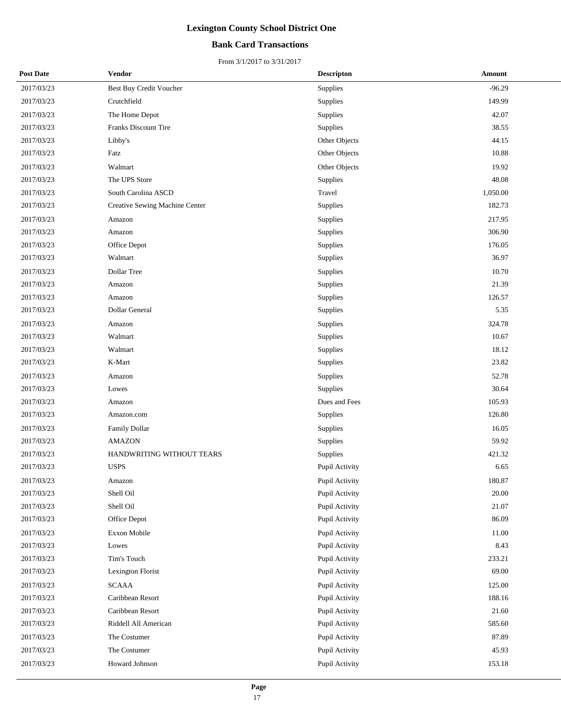## **Bank Card Transactions**

| <b>Post Date</b> | Vendor                         | <b>Descripton</b> | Amount   |
|------------------|--------------------------------|-------------------|----------|
| 2017/03/23       | Best Buy Credit Voucher        | Supplies          | $-96.29$ |
| 2017/03/23       | Crutchfield                    | Supplies          | 149.99   |
| 2017/03/23       | The Home Depot                 | Supplies          | 42.07    |
| 2017/03/23       | <b>Franks Discount Tire</b>    | Supplies          | 38.55    |
| 2017/03/23       | Libby's                        | Other Objects     | 44.15    |
| 2017/03/23       | Fatz                           | Other Objects     | 10.88    |
| 2017/03/23       | Walmart                        | Other Objects     | 19.92    |
| 2017/03/23       | The UPS Store                  | Supplies          | 48.08    |
| 2017/03/23       | South Carolina ASCD            | Travel            | 1,050.00 |
| 2017/03/23       | Creative Sewing Machine Center | Supplies          | 182.73   |
| 2017/03/23       | Amazon                         | Supplies          | 217.95   |
| 2017/03/23       | Amazon                         | Supplies          | 306.90   |
| 2017/03/23       | Office Depot                   | Supplies          | 176.05   |
| 2017/03/23       | Walmart                        | Supplies          | 36.97    |
| 2017/03/23       | Dollar Tree                    | Supplies          | 10.70    |
| 2017/03/23       | Amazon                         | Supplies          | 21.39    |
| 2017/03/23       | Amazon                         | Supplies          | 126.57   |
| 2017/03/23       | Dollar General                 | Supplies          | 5.35     |
| 2017/03/23       | Amazon                         | Supplies          | 324.78   |
| 2017/03/23       | Walmart                        | Supplies          | 10.67    |
| 2017/03/23       | Walmart                        | Supplies          | 18.12    |
| 2017/03/23       | K-Mart                         | Supplies          | 23.82    |
| 2017/03/23       | Amazon                         | Supplies          | 52.78    |
| 2017/03/23       | Lowes                          | Supplies          | 30.64    |
| 2017/03/23       | Amazon                         | Dues and Fees     | 105.93   |
| 2017/03/23       | Amazon.com                     | Supplies          | 126.80   |
| 2017/03/23       | <b>Family Dollar</b>           | Supplies          | 16.05    |
| 2017/03/23       | <b>AMAZON</b>                  | Supplies          | 59.92    |
| 2017/03/23       | HANDWRITING WITHOUT TEARS      | <b>Supplies</b>   | 421.32   |
| 2017/03/23       | <b>USPS</b>                    | Pupil Activity    | 6.65     |
| 2017/03/23       | Amazon                         | Pupil Activity    | 180.87   |
| 2017/03/23       | Shell Oil                      | Pupil Activity    | 20.00    |
| 2017/03/23       | Shell Oil                      | Pupil Activity    | 21.07    |
| 2017/03/23       | Office Depot                   | Pupil Activity    | 86.09    |
| 2017/03/23       | Exxon Mobile                   | Pupil Activity    | 11.00    |
| 2017/03/23       | Lowes                          | Pupil Activity    | 8.43     |
| 2017/03/23       | Tim's Touch                    | Pupil Activity    | 233.21   |
| 2017/03/23       | Lexington Florist              | Pupil Activity    | 69.00    |
| 2017/03/23       | <b>SCAAA</b>                   | Pupil Activity    | 125.00   |
| 2017/03/23       | Caribbean Resort               | Pupil Activity    | 188.16   |
| 2017/03/23       | Caribbean Resort               | Pupil Activity    | 21.60    |
| 2017/03/23       | Riddell All American           | Pupil Activity    | 585.60   |
| 2017/03/23       | The Costumer                   | Pupil Activity    | 87.89    |
| 2017/03/23       | The Costumer                   | Pupil Activity    | 45.93    |
| 2017/03/23       | Howard Johnson                 | Pupil Activity    | 153.18   |
|                  |                                |                   |          |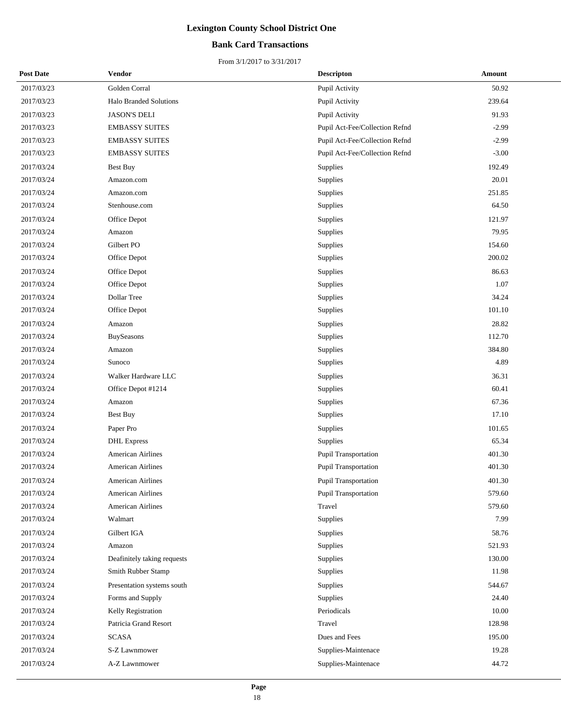## **Bank Card Transactions**

| <b>Post Date</b> | Vendor                        | <b>Descripton</b>              | Amount  |
|------------------|-------------------------------|--------------------------------|---------|
| 2017/03/23       | Golden Corral                 | Pupil Activity                 | 50.92   |
| 2017/03/23       | <b>Halo Branded Solutions</b> | Pupil Activity                 | 239.64  |
| 2017/03/23       | <b>JASON'S DELI</b>           | Pupil Activity                 | 91.93   |
| 2017/03/23       | <b>EMBASSY SUITES</b>         | Pupil Act-Fee/Collection Refnd | $-2.99$ |
| 2017/03/23       | <b>EMBASSY SUITES</b>         | Pupil Act-Fee/Collection Refnd | $-2.99$ |
| 2017/03/23       | <b>EMBASSY SUITES</b>         | Pupil Act-Fee/Collection Refnd | $-3.00$ |
| 2017/03/24       | <b>Best Buy</b>               | Supplies                       | 192.49  |
| 2017/03/24       | Amazon.com                    | Supplies                       | 20.01   |
| 2017/03/24       | Amazon.com                    | Supplies                       | 251.85  |
| 2017/03/24       | Stenhouse.com                 | Supplies                       | 64.50   |
| 2017/03/24       | Office Depot                  | Supplies                       | 121.97  |
| 2017/03/24       | Amazon                        | Supplies                       | 79.95   |
| 2017/03/24       | Gilbert PO                    | Supplies                       | 154.60  |
| 2017/03/24       | Office Depot                  | Supplies                       | 200.02  |
| 2017/03/24       | Office Depot                  | Supplies                       | 86.63   |
| 2017/03/24       | Office Depot                  | Supplies                       | 1.07    |
| 2017/03/24       | Dollar Tree                   | Supplies                       | 34.24   |
| 2017/03/24       | Office Depot                  | Supplies                       | 101.10  |
| 2017/03/24       | Amazon                        | Supplies                       | 28.82   |
| 2017/03/24       | BuySeasons                    | Supplies                       | 112.70  |
| 2017/03/24       | Amazon                        | Supplies                       | 384.80  |
| 2017/03/24       | Sunoco                        | Supplies                       | 4.89    |
| 2017/03/24       | Walker Hardware LLC           | Supplies                       | 36.31   |
| 2017/03/24       | Office Depot #1214            | Supplies                       | 60.41   |
| 2017/03/24       | Amazon                        | Supplies                       | 67.36   |
| 2017/03/24       | <b>Best Buy</b>               | Supplies                       | 17.10   |
| 2017/03/24       | Paper Pro                     | Supplies                       | 101.65  |
| 2017/03/24       | <b>DHL</b> Express            | Supplies                       | 65.34   |
| 2017/03/24       | <b>American Airlines</b>      | Pupil Transportation           | 401.30  |
| 2017/03/24       | American Airlines             | <b>Pupil Transportation</b>    | 401.30  |
| 2017/03/24       | <b>American Airlines</b>      | <b>Pupil Transportation</b>    | 401.30  |
| 2017/03/24       | <b>American Airlines</b>      | <b>Pupil Transportation</b>    | 579.60  |
| 2017/03/24       | American Airlines             | Travel                         | 579.60  |
| 2017/03/24       | Walmart                       | Supplies                       | 7.99    |
| 2017/03/24       | Gilbert IGA                   | Supplies                       | 58.76   |
| 2017/03/24       | Amazon                        | Supplies                       | 521.93  |
| 2017/03/24       | Deafinitely taking requests   | Supplies                       | 130.00  |
| 2017/03/24       | Smith Rubber Stamp            | Supplies                       | 11.98   |
| 2017/03/24       | Presentation systems south    | Supplies                       | 544.67  |
| 2017/03/24       | Forms and Supply              | Supplies                       | 24.40   |
| 2017/03/24       | Kelly Registration            | Periodicals                    | 10.00   |
| 2017/03/24       | Patricia Grand Resort         | Travel                         | 128.98  |
| 2017/03/24       | <b>SCASA</b>                  | Dues and Fees                  | 195.00  |
| 2017/03/24       | S-Z Lawnmower                 | Supplies-Maintenace            | 19.28   |
| 2017/03/24       | A-Z Lawnmower                 | Supplies-Maintenace            | 44.72   |
|                  |                               |                                |         |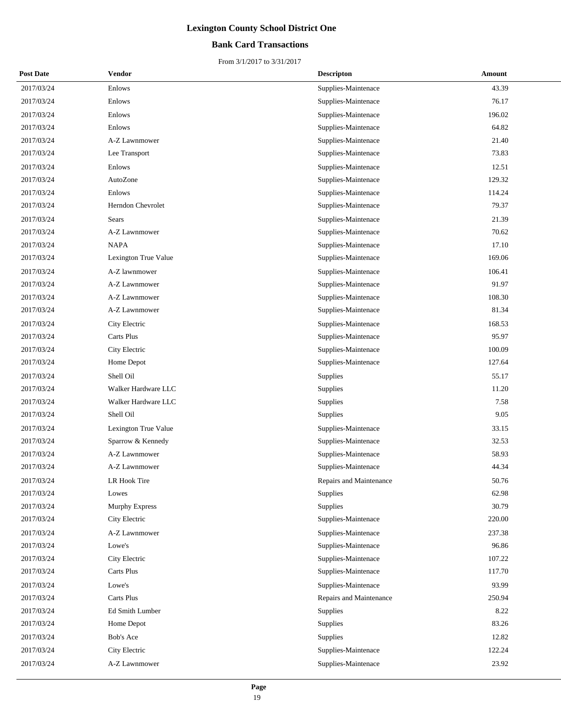## **Bank Card Transactions**

| <b>Post Date</b> | Vendor               | <b>Descripton</b>       | Amount |
|------------------|----------------------|-------------------------|--------|
| 2017/03/24       | Enlows               | Supplies-Maintenace     | 43.39  |
| 2017/03/24       | Enlows               | Supplies-Maintenace     | 76.17  |
| 2017/03/24       | Enlows               | Supplies-Maintenace     | 196.02 |
| 2017/03/24       | Enlows               | Supplies-Maintenace     | 64.82  |
| 2017/03/24       | A-Z Lawnmower        | Supplies-Maintenace     | 21.40  |
| 2017/03/24       | Lee Transport        | Supplies-Maintenace     | 73.83  |
| 2017/03/24       | Enlows               | Supplies-Maintenace     | 12.51  |
| 2017/03/24       | AutoZone             | Supplies-Maintenace     | 129.32 |
| 2017/03/24       | Enlows               | Supplies-Maintenace     | 114.24 |
| 2017/03/24       | Herndon Chevrolet    | Supplies-Maintenace     | 79.37  |
| 2017/03/24       | <b>Sears</b>         | Supplies-Maintenace     | 21.39  |
| 2017/03/24       | A-Z Lawnmower        | Supplies-Maintenace     | 70.62  |
| 2017/03/24       | <b>NAPA</b>          | Supplies-Maintenace     | 17.10  |
| 2017/03/24       | Lexington True Value | Supplies-Maintenace     | 169.06 |
| 2017/03/24       | A-Z lawnmower        | Supplies-Maintenace     | 106.41 |
| 2017/03/24       | A-Z Lawnmower        | Supplies-Maintenace     | 91.97  |
| 2017/03/24       | A-Z Lawnmower        | Supplies-Maintenace     | 108.30 |
| 2017/03/24       | A-Z Lawnmower        | Supplies-Maintenace     | 81.34  |
| 2017/03/24       | City Electric        | Supplies-Maintenace     | 168.53 |
| 2017/03/24       | Carts Plus           | Supplies-Maintenace     | 95.97  |
| 2017/03/24       | City Electric        | Supplies-Maintenace     | 100.09 |
| 2017/03/24       | Home Depot           | Supplies-Maintenace     | 127.64 |
| 2017/03/24       | Shell Oil            | Supplies                | 55.17  |
| 2017/03/24       | Walker Hardware LLC  | Supplies                | 11.20  |
| 2017/03/24       | Walker Hardware LLC  | <b>Supplies</b>         | 7.58   |
| 2017/03/24       | Shell Oil            | <b>Supplies</b>         | 9.05   |
| 2017/03/24       | Lexington True Value | Supplies-Maintenace     | 33.15  |
| 2017/03/24       | Sparrow & Kennedy    | Supplies-Maintenace     | 32.53  |
| 2017/03/24       | A-Z Lawnmower        | Supplies-Maintenace     | 58.93  |
| 2017/03/24       | A-Z Lawnmower        | Supplies-Maintenace     | 44.34  |
| 2017/03/24       | LR Hook Tire         | Repairs and Maintenance | 50.76  |
| 2017/03/24       | Lowes                | Supplies                | 62.98  |
| 2017/03/24       | Murphy Express       | <b>Supplies</b>         | 30.79  |
| 2017/03/24       | City Electric        | Supplies-Maintenace     | 220.00 |
| 2017/03/24       | A-Z Lawnmower        | Supplies-Maintenace     | 237.38 |
| 2017/03/24       | Lowe's               | Supplies-Maintenace     | 96.86  |
| 2017/03/24       | City Electric        | Supplies-Maintenace     | 107.22 |
| 2017/03/24       | Carts Plus           | Supplies-Maintenace     | 117.70 |
| 2017/03/24       | Lowe's               | Supplies-Maintenace     | 93.99  |
| 2017/03/24       | Carts Plus           | Repairs and Maintenance | 250.94 |
| 2017/03/24       | Ed Smith Lumber      | Supplies                | 8.22   |
| 2017/03/24       | Home Depot           | Supplies                | 83.26  |
| 2017/03/24       | Bob's Ace            | Supplies                | 12.82  |
| 2017/03/24       | City Electric        | Supplies-Maintenace     | 122.24 |
| 2017/03/24       | A-Z Lawnmower        | Supplies-Maintenace     | 23.92  |
|                  |                      |                         |        |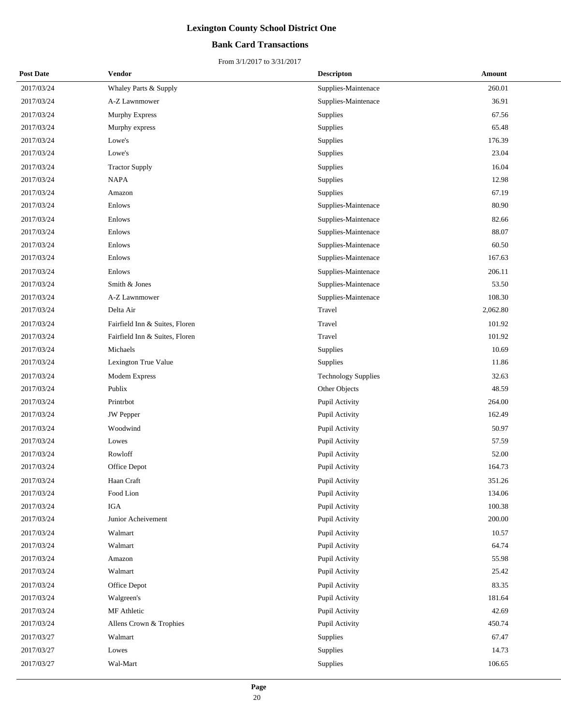## **Bank Card Transactions**

| <b>Post Date</b> | <b>Vendor</b>                  | <b>Descripton</b>          | Amount   |
|------------------|--------------------------------|----------------------------|----------|
| 2017/03/24       | Whaley Parts & Supply          | Supplies-Maintenace        | 260.01   |
| 2017/03/24       | A-Z Lawnmower                  | Supplies-Maintenace        | 36.91    |
| 2017/03/24       | <b>Murphy Express</b>          | Supplies                   | 67.56    |
| 2017/03/24       | Murphy express                 | Supplies                   | 65.48    |
| 2017/03/24       | Lowe's                         | Supplies                   | 176.39   |
| 2017/03/24       | Lowe's                         | Supplies                   | 23.04    |
| 2017/03/24       | <b>Tractor Supply</b>          | Supplies                   | 16.04    |
| 2017/03/24       | <b>NAPA</b>                    | <b>Supplies</b>            | 12.98    |
| 2017/03/24       | Amazon                         | Supplies                   | 67.19    |
| 2017/03/24       | Enlows                         | Supplies-Maintenace        | 80.90    |
| 2017/03/24       | Enlows                         | Supplies-Maintenace        | 82.66    |
| 2017/03/24       | Enlows                         | Supplies-Maintenace        | 88.07    |
| 2017/03/24       | Enlows                         | Supplies-Maintenace        | 60.50    |
| 2017/03/24       | Enlows                         | Supplies-Maintenace        | 167.63   |
| 2017/03/24       | Enlows                         | Supplies-Maintenace        | 206.11   |
| 2017/03/24       | Smith & Jones                  | Supplies-Maintenace        | 53.50    |
| 2017/03/24       | A-Z Lawnmower                  | Supplies-Maintenace        | 108.30   |
| 2017/03/24       | Delta Air                      | Travel                     | 2,062.80 |
| 2017/03/24       | Fairfield Inn & Suites, Floren | Travel                     | 101.92   |
| 2017/03/24       | Fairfield Inn & Suites, Floren | Travel                     | 101.92   |
| 2017/03/24       | Michaels                       | Supplies                   | 10.69    |
| 2017/03/24       | Lexington True Value           | Supplies                   | 11.86    |
| 2017/03/24       | Modem Express                  | <b>Technology Supplies</b> | 32.63    |
| 2017/03/24       | Publix                         | Other Objects              | 48.59    |
| 2017/03/24       | Printrbot                      | Pupil Activity             | 264.00   |
| 2017/03/24       | <b>JW</b> Pepper               | Pupil Activity             | 162.49   |
| 2017/03/24       | Woodwind                       | Pupil Activity             | 50.97    |
| 2017/03/24       | Lowes                          | Pupil Activity             | 57.59    |
| 2017/03/24       | Rowloff                        | Pupil Activity             | 52.00    |
| 2017/03/24       | Office Depot                   | Pupil Activity             | 164.73   |
| 2017/03/24       | Haan Craft                     | Pupil Activity             | 351.26   |
| 2017/03/24       | Food Lion                      | Pupil Activity             | 134.06   |
| 2017/03/24       | <b>IGA</b>                     | Pupil Activity             | 100.38   |
| 2017/03/24       | Junior Acheivement             | Pupil Activity             | 200.00   |
| 2017/03/24       | Walmart                        | Pupil Activity             | 10.57    |
| 2017/03/24       | Walmart                        | Pupil Activity             | 64.74    |
| 2017/03/24       | Amazon                         | Pupil Activity             | 55.98    |
| 2017/03/24       | Walmart                        | Pupil Activity             | 25.42    |
| 2017/03/24       | Office Depot                   | Pupil Activity             | 83.35    |
| 2017/03/24       | Walgreen's                     | Pupil Activity             | 181.64   |
| 2017/03/24       | MF Athletic                    | Pupil Activity             | 42.69    |
| 2017/03/24       | Allens Crown & Trophies        | Pupil Activity             | 450.74   |
| 2017/03/27       | Walmart                        | Supplies                   | 67.47    |
| 2017/03/27       | Lowes                          | Supplies                   | 14.73    |
| 2017/03/27       | Wal-Mart                       | Supplies                   | 106.65   |
|                  |                                |                            |          |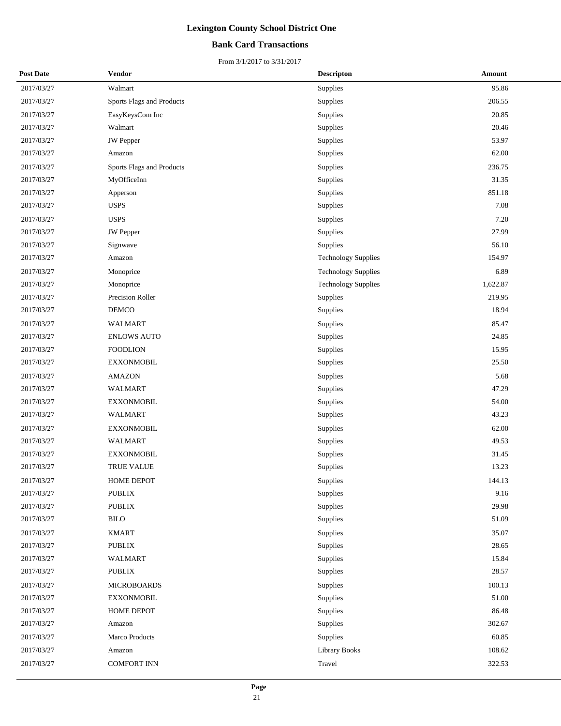## **Bank Card Transactions**

| <b>Post Date</b> | Vendor                    | <b>Descripton</b>          | Amount   |
|------------------|---------------------------|----------------------------|----------|
| 2017/03/27       | Walmart                   | Supplies                   | 95.86    |
| 2017/03/27       | Sports Flags and Products | Supplies                   | 206.55   |
| 2017/03/27       | EasyKeysCom Inc           | Supplies                   | 20.85    |
| 2017/03/27       | Walmart                   | Supplies                   | 20.46    |
| 2017/03/27       | JW Pepper                 | Supplies                   | 53.97    |
| 2017/03/27       | Amazon                    | Supplies                   | 62.00    |
| 2017/03/27       | Sports Flags and Products | Supplies                   | 236.75   |
| 2017/03/27       | MyOfficeInn               | Supplies                   | 31.35    |
| 2017/03/27       | Apperson                  | Supplies                   | 851.18   |
| 2017/03/27       | <b>USPS</b>               | Supplies                   | 7.08     |
| 2017/03/27       | <b>USPS</b>               | Supplies                   | 7.20     |
| 2017/03/27       | <b>JW</b> Pepper          | Supplies                   | 27.99    |
| 2017/03/27       | Signwave                  | Supplies                   | 56.10    |
| 2017/03/27       | Amazon                    | <b>Technology Supplies</b> | 154.97   |
| 2017/03/27       | Monoprice                 | <b>Technology Supplies</b> | 6.89     |
| 2017/03/27       | Monoprice                 | <b>Technology Supplies</b> | 1,622.87 |
| 2017/03/27       | Precision Roller          | Supplies                   | 219.95   |
| 2017/03/27       | DEMCO                     | Supplies                   | 18.94    |
| 2017/03/27       | WALMART                   | Supplies                   | 85.47    |
| 2017/03/27       | <b>ENLOWS AUTO</b>        | Supplies                   | 24.85    |
| 2017/03/27       | <b>FOODLION</b>           | Supplies                   | 15.95    |
| 2017/03/27       | <b>EXXONMOBIL</b>         | Supplies                   | 25.50    |
| 2017/03/27       | <b>AMAZON</b>             | Supplies                   | 5.68     |
| 2017/03/27       | WALMART                   | Supplies                   | 47.29    |
| 2017/03/27       | <b>EXXONMOBIL</b>         | Supplies                   | 54.00    |
| 2017/03/27       | <b>WALMART</b>            | Supplies                   | 43.23    |
| 2017/03/27       | <b>EXXONMOBIL</b>         | Supplies                   | 62.00    |
| 2017/03/27       | WALMART                   | Supplies                   | 49.53    |
| 2017/03/27       | <b>EXXONMOBIL</b>         | Supplies                   | 31.45    |
| 2017/03/27       | <b>TRUE VALUE</b>         | Supplies                   | 13.23    |
| 2017/03/27       | <b>HOME DEPOT</b>         | Supplies                   | 144.13   |
| 2017/03/27       | PUBLIX                    | Supplies                   | 9.16     |
| 2017/03/27       | PUBLIX                    | Supplies                   | 29.98    |
| 2017/03/27       | $\operatorname{BIO}$      | Supplies                   | 51.09    |
| 2017/03/27       | <b>KMART</b>              | Supplies                   | 35.07    |
| 2017/03/27       | PUBLIX                    | Supplies                   | 28.65    |
| 2017/03/27       | WALMART                   | Supplies                   | 15.84    |
| 2017/03/27       | <b>PUBLIX</b>             | Supplies                   | 28.57    |
| 2017/03/27       | <b>MICROBOARDS</b>        | Supplies                   | 100.13   |
| 2017/03/27       | <b>EXXONMOBIL</b>         | Supplies                   | 51.00    |
| 2017/03/27       | HOME DEPOT                | Supplies                   | 86.48    |
| 2017/03/27       | Amazon                    | Supplies                   | 302.67   |
| 2017/03/27       | Marco Products            | Supplies                   | 60.85    |
| 2017/03/27       | Amazon                    | Library Books              | 108.62   |
| 2017/03/27       | <b>COMFORT INN</b>        | Travel                     | 322.53   |
|                  |                           |                            |          |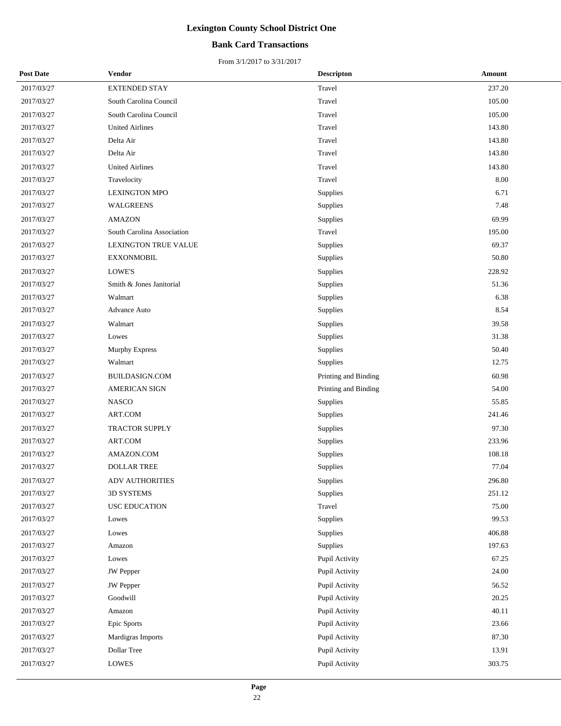## **Bank Card Transactions**

| <b>Post Date</b> | Vendor                     | <b>Descripton</b>    | Amount |
|------------------|----------------------------|----------------------|--------|
| 2017/03/27       | <b>EXTENDED STAY</b>       | Travel               | 237.20 |
| 2017/03/27       | South Carolina Council     | Travel               | 105.00 |
| 2017/03/27       | South Carolina Council     | Travel               | 105.00 |
| 2017/03/27       | <b>United Airlines</b>     | Travel               | 143.80 |
| 2017/03/27       | Delta Air                  | Travel               | 143.80 |
| 2017/03/27       | Delta Air                  | Travel               | 143.80 |
| 2017/03/27       | <b>United Airlines</b>     | Travel               | 143.80 |
| 2017/03/27       | Travelocity                | Travel               | 8.00   |
| 2017/03/27       | <b>LEXINGTON MPO</b>       | Supplies             | 6.71   |
| 2017/03/27       | <b>WALGREENS</b>           | Supplies             | 7.48   |
| 2017/03/27       | <b>AMAZON</b>              | Supplies             | 69.99  |
| 2017/03/27       | South Carolina Association | Travel               | 195.00 |
| 2017/03/27       | LEXINGTON TRUE VALUE       | Supplies             | 69.37  |
| 2017/03/27       | <b>EXXONMOBIL</b>          | Supplies             | 50.80  |
| 2017/03/27       | LOWE'S                     | Supplies             | 228.92 |
| 2017/03/27       | Smith & Jones Janitorial   | Supplies             | 51.36  |
| 2017/03/27       | Walmart                    | Supplies             | 6.38   |
| 2017/03/27       | <b>Advance Auto</b>        | Supplies             | 8.54   |
| 2017/03/27       | Walmart                    | Supplies             | 39.58  |
| 2017/03/27       | Lowes                      | Supplies             | 31.38  |
| 2017/03/27       | <b>Murphy Express</b>      | Supplies             | 50.40  |
| 2017/03/27       | Walmart                    | Supplies             | 12.75  |
| 2017/03/27       | <b>BUILDASIGN.COM</b>      | Printing and Binding | 60.98  |
| 2017/03/27       | <b>AMERICAN SIGN</b>       | Printing and Binding | 54.00  |
| 2017/03/27       | <b>NASCO</b>               | Supplies             | 55.85  |
| 2017/03/27       | ART.COM                    | Supplies             | 241.46 |
| 2017/03/27       | <b>TRACTOR SUPPLY</b>      | Supplies             | 97.30  |
| 2017/03/27       | ART.COM                    | Supplies             | 233.96 |
| 2017/03/27       | AMAZON.COM                 | Supplies             | 108.18 |
| 2017/03/27       | <b>DOLLAR TREE</b>         | Supplies             | 77.04  |
| 2017/03/27       | <b>ADV AUTHORITIES</b>     | Supplies             | 296.80 |
| 2017/03/27       | 3D SYSTEMS                 | Supplies             | 251.12 |
| 2017/03/27       | <b>USC EDUCATION</b>       | Travel               | 75.00  |
| 2017/03/27       | Lowes                      | Supplies             | 99.53  |
| 2017/03/27       | Lowes                      | Supplies             | 406.88 |
| 2017/03/27       | Amazon                     | Supplies             | 197.63 |
| 2017/03/27       | Lowes                      | Pupil Activity       | 67.25  |
| 2017/03/27       | <b>JW</b> Pepper           | Pupil Activity       | 24.00  |
| 2017/03/27       | <b>JW</b> Pepper           | Pupil Activity       | 56.52  |
| 2017/03/27       | Goodwill                   | Pupil Activity       | 20.25  |
| 2017/03/27       | Amazon                     | Pupil Activity       | 40.11  |
| 2017/03/27       | Epic Sports                | Pupil Activity       | 23.66  |
| 2017/03/27       | Mardigras Imports          | Pupil Activity       | 87.30  |
| 2017/03/27       | Dollar Tree                | Pupil Activity       | 13.91  |
| 2017/03/27       | <b>LOWES</b>               | Pupil Activity       | 303.75 |
|                  |                            |                      |        |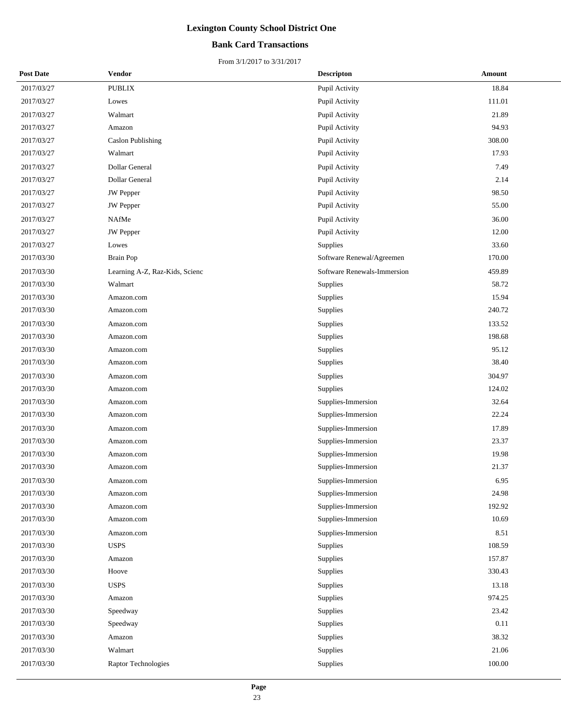## **Bank Card Transactions**

| <b>Post Date</b> | Vendor                         | <b>Descripton</b>           | Amount |
|------------------|--------------------------------|-----------------------------|--------|
| 2017/03/27       | <b>PUBLIX</b>                  | Pupil Activity              | 18.84  |
| 2017/03/27       | Lowes                          | Pupil Activity              | 111.01 |
| 2017/03/27       | Walmart                        | Pupil Activity              | 21.89  |
| 2017/03/27       | Amazon                         | Pupil Activity              | 94.93  |
| 2017/03/27       | <b>Caslon Publishing</b>       | Pupil Activity              | 308.00 |
| 2017/03/27       | Walmart                        | Pupil Activity              | 17.93  |
| 2017/03/27       | Dollar General                 | Pupil Activity              | 7.49   |
| 2017/03/27       | Dollar General                 | Pupil Activity              | 2.14   |
| 2017/03/27       | JW Pepper                      | Pupil Activity              | 98.50  |
| 2017/03/27       | <b>JW</b> Pepper               | Pupil Activity              | 55.00  |
| 2017/03/27       | NAfMe                          | Pupil Activity              | 36.00  |
| 2017/03/27       | JW Pepper                      | Pupil Activity              | 12.00  |
| 2017/03/27       | Lowes                          | Supplies                    | 33.60  |
| 2017/03/30       | <b>Brain Pop</b>               | Software Renewal/Agreemen   | 170.00 |
| 2017/03/30       | Learning A-Z, Raz-Kids, Scienc | Software Renewals-Immersion | 459.89 |
| 2017/03/30       | Walmart                        | Supplies                    | 58.72  |
| 2017/03/30       | Amazon.com                     | Supplies                    | 15.94  |
| 2017/03/30       | Amazon.com                     | Supplies                    | 240.72 |
| 2017/03/30       | Amazon.com                     | Supplies                    | 133.52 |
| 2017/03/30       | Amazon.com                     | Supplies                    | 198.68 |
| 2017/03/30       | Amazon.com                     | Supplies                    | 95.12  |
| 2017/03/30       | Amazon.com                     | Supplies                    | 38.40  |
| 2017/03/30       | Amazon.com                     | Supplies                    | 304.97 |
| 2017/03/30       | Amazon.com                     | Supplies                    | 124.02 |
| 2017/03/30       | Amazon.com                     | Supplies-Immersion          | 32.64  |
| 2017/03/30       | Amazon.com                     | Supplies-Immersion          | 22.24  |
| 2017/03/30       | Amazon.com                     | Supplies-Immersion          | 17.89  |
| 2017/03/30       | Amazon.com                     | Supplies-Immersion          | 23.37  |
| 2017/03/30       | Amazon.com                     | Supplies-Immersion          | 19.98  |
| 2017/03/30       | Amazon.com                     | Supplies-Immersion          | 21.37  |
| 2017/03/30       | Amazon.com                     | Supplies-Immersion          | 6.95   |
| 2017/03/30       | Amazon.com                     | Supplies-Immersion          | 24.98  |
| 2017/03/30       | Amazon.com                     | Supplies-Immersion          | 192.92 |
| 2017/03/30       | Amazon.com                     | Supplies-Immersion          | 10.69  |
| 2017/03/30       | Amazon.com                     | Supplies-Immersion          | 8.51   |
| 2017/03/30       | <b>USPS</b>                    | Supplies                    | 108.59 |
| 2017/03/30       | Amazon                         | Supplies                    | 157.87 |
| 2017/03/30       | Hoove                          | Supplies                    | 330.43 |
| 2017/03/30       | <b>USPS</b>                    | Supplies                    | 13.18  |
| 2017/03/30       | Amazon                         | Supplies                    | 974.25 |
| 2017/03/30       | Speedway                       | Supplies                    | 23.42  |
| 2017/03/30       | Speedway                       | Supplies                    | 0.11   |
| 2017/03/30       | Amazon                         | Supplies                    | 38.32  |
| 2017/03/30       | Walmart                        | Supplies                    | 21.06  |
| 2017/03/30       | Raptor Technologies            | Supplies                    | 100.00 |
|                  |                                |                             |        |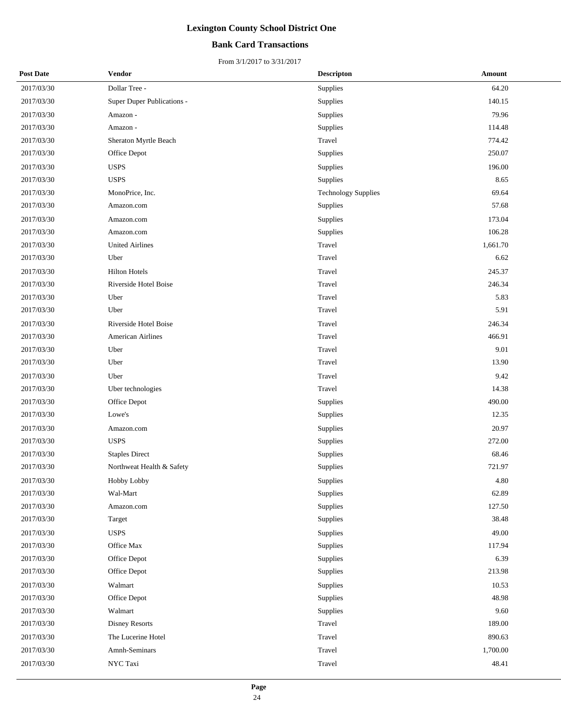## **Bank Card Transactions**

| <b>Post Date</b> | <b>Vendor</b>              | <b>Descripton</b>          | Amount   |
|------------------|----------------------------|----------------------------|----------|
| 2017/03/30       | Dollar Tree -              | Supplies                   | 64.20    |
| 2017/03/30       | Super Duper Publications - | Supplies                   | 140.15   |
| 2017/03/30       | Amazon -                   | Supplies                   | 79.96    |
| 2017/03/30       | Amazon -                   | Supplies                   | 114.48   |
| 2017/03/30       | Sheraton Myrtle Beach      | Travel                     | 774.42   |
| 2017/03/30       | Office Depot               | Supplies                   | 250.07   |
| 2017/03/30       | <b>USPS</b>                | Supplies                   | 196.00   |
| 2017/03/30       | <b>USPS</b>                | Supplies                   | 8.65     |
| 2017/03/30       | MonoPrice, Inc.            | <b>Technology Supplies</b> | 69.64    |
| 2017/03/30       | Amazon.com                 | Supplies                   | 57.68    |
| 2017/03/30       | Amazon.com                 | Supplies                   | 173.04   |
| 2017/03/30       | Amazon.com                 | Supplies                   | 106.28   |
| 2017/03/30       | <b>United Airlines</b>     | Travel                     | 1,661.70 |
| 2017/03/30       | Uber                       | Travel                     | 6.62     |
| 2017/03/30       | <b>Hilton Hotels</b>       | Travel                     | 245.37   |
| 2017/03/30       | Riverside Hotel Boise      | Travel                     | 246.34   |
| 2017/03/30       | Uber                       | Travel                     | 5.83     |
| 2017/03/30       | Uber                       | Travel                     | 5.91     |
| 2017/03/30       | Riverside Hotel Boise      | Travel                     | 246.34   |
| 2017/03/30       | <b>American Airlines</b>   | Travel                     | 466.91   |
| 2017/03/30       | Uber                       | Travel                     | 9.01     |
| 2017/03/30       | Uber                       | Travel                     | 13.90    |
| 2017/03/30       | Uber                       | Travel                     | 9.42     |
| 2017/03/30       | Uber technologies          | Travel                     | 14.38    |
| 2017/03/30       | Office Depot               | Supplies                   | 490.00   |
| 2017/03/30       | Lowe's                     | Supplies                   | 12.35    |
| 2017/03/30       | Amazon.com                 | Supplies                   | 20.97    |
| 2017/03/30       | <b>USPS</b>                | Supplies                   | 272.00   |
| 2017/03/30       | <b>Staples Direct</b>      | Supplies                   | 68.46    |
| 2017/03/30       | Northweat Health & Safety  | Supplies                   | 721.97   |
| 2017/03/30       | Hobby Lobby                | Supplies                   | 4.80     |
| 2017/03/30       | Wal-Mart                   | Supplies                   | 62.89    |
| 2017/03/30       | Amazon.com                 | Supplies                   | 127.50   |
| 2017/03/30       | Target                     | Supplies                   | 38.48    |
| 2017/03/30       | <b>USPS</b>                | Supplies                   | 49.00    |
| 2017/03/30       | Office Max                 | Supplies                   | 117.94   |
| 2017/03/30       | Office Depot               | Supplies                   | 6.39     |
| 2017/03/30       | Office Depot               | Supplies                   | 213.98   |
| 2017/03/30       | Walmart                    | Supplies                   | 10.53    |
| 2017/03/30       | Office Depot               | Supplies                   | 48.98    |
| 2017/03/30       | Walmart                    | Supplies                   | 9.60     |
| 2017/03/30       | Disney Resorts             | Travel                     | 189.00   |
| 2017/03/30       | The Lucerine Hotel         | Travel                     | 890.63   |
| 2017/03/30       | Amnh-Seminars              | Travel                     | 1,700.00 |
| 2017/03/30       | NYC Taxi                   | Travel                     | 48.41    |
|                  |                            |                            |          |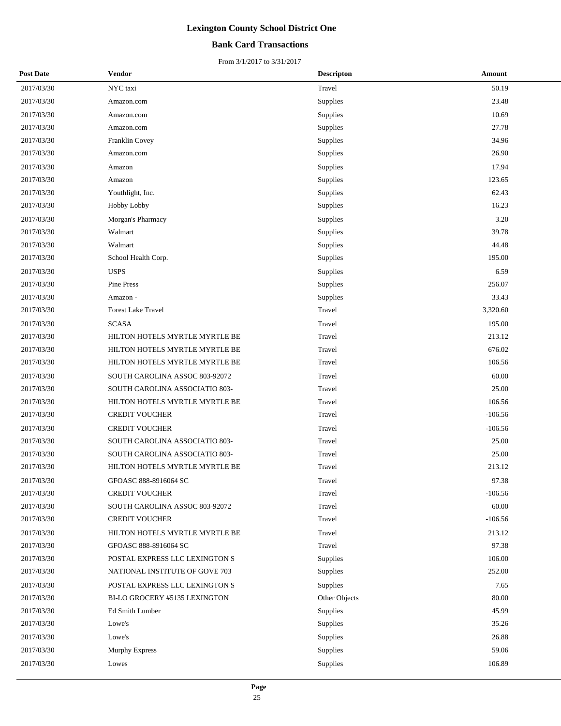## **Bank Card Transactions**

| <b>Post Date</b> | Vendor                         | <b>Descripton</b> | Amount    |
|------------------|--------------------------------|-------------------|-----------|
| 2017/03/30       | NYC taxi                       | Travel            | 50.19     |
| 2017/03/30       | Amazon.com                     | Supplies          | 23.48     |
| 2017/03/30       | Amazon.com                     | Supplies          | 10.69     |
| 2017/03/30       | Amazon.com                     | Supplies          | 27.78     |
| 2017/03/30       | Franklin Covey                 | Supplies          | 34.96     |
| 2017/03/30       | Amazon.com                     | Supplies          | 26.90     |
| 2017/03/30       | Amazon                         | Supplies          | 17.94     |
| 2017/03/30       | Amazon                         | Supplies          | 123.65    |
| 2017/03/30       | Youthlight, Inc.               | Supplies          | 62.43     |
| 2017/03/30       | <b>Hobby Lobby</b>             | Supplies          | 16.23     |
| 2017/03/30       | Morgan's Pharmacy              | Supplies          | 3.20      |
| 2017/03/30       | Walmart                        | Supplies          | 39.78     |
| 2017/03/30       | Walmart                        | Supplies          | 44.48     |
| 2017/03/30       | School Health Corp.            | Supplies          | 195.00    |
| 2017/03/30       | <b>USPS</b>                    | Supplies          | 6.59      |
| 2017/03/30       | <b>Pine Press</b>              | Supplies          | 256.07    |
| 2017/03/30       | Amazon -                       | Supplies          | 33.43     |
| 2017/03/30       | <b>Forest Lake Travel</b>      | Travel            | 3,320.60  |
| 2017/03/30       | <b>SCASA</b>                   | Travel            | 195.00    |
| 2017/03/30       | HILTON HOTELS MYRTLE MYRTLE BE | Travel            | 213.12    |
| 2017/03/30       | HILTON HOTELS MYRTLE MYRTLE BE | Travel            | 676.02    |
| 2017/03/30       | HILTON HOTELS MYRTLE MYRTLE BE | Travel            | 106.56    |
| 2017/03/30       | SOUTH CAROLINA ASSOC 803-92072 | Travel            | 60.00     |
| 2017/03/30       | SOUTH CAROLINA ASSOCIATIO 803- | Travel            | 25.00     |
| 2017/03/30       | HILTON HOTELS MYRTLE MYRTLE BE | Travel            | 106.56    |
| 2017/03/30       | <b>CREDIT VOUCHER</b>          | Travel            | $-106.56$ |
| 2017/03/30       | <b>CREDIT VOUCHER</b>          | Travel            | $-106.56$ |
| 2017/03/30       | SOUTH CAROLINA ASSOCIATIO 803- | Travel            | 25.00     |
| 2017/03/30       | SOUTH CAROLINA ASSOCIATIO 803- | Travel            | 25.00     |
| 2017/03/30       | HILTON HOTELS MYRTLE MYRTLE BE | Travel            | 213.12    |
| 2017/03/30       | GFOASC 888-8916064 SC          | Travel            | 97.38     |
| 2017/03/30       | <b>CREDIT VOUCHER</b>          | Travel            | $-106.56$ |
| 2017/03/30       | SOUTH CAROLINA ASSOC 803-92072 | Travel            | 60.00     |
| 2017/03/30       | <b>CREDIT VOUCHER</b>          | Travel            | $-106.56$ |
| 2017/03/30       | HILTON HOTELS MYRTLE MYRTLE BE | Travel            | 213.12    |
| 2017/03/30       | GFOASC 888-8916064 SC          | Travel            | 97.38     |
| 2017/03/30       | POSTAL EXPRESS LLC LEXINGTON S | Supplies          | 106.00    |
| 2017/03/30       | NATIONAL INSTITUTE OF GOVE 703 | Supplies          | 252.00    |
| 2017/03/30       | POSTAL EXPRESS LLC LEXINGTON S | Supplies          | 7.65      |
| 2017/03/30       | BI-LO GROCERY #5135 LEXINGTON  | Other Objects     | 80.00     |
| 2017/03/30       | Ed Smith Lumber                | Supplies          | 45.99     |
| 2017/03/30       | Lowe's                         | Supplies          | 35.26     |
| 2017/03/30       | Lowe's                         | Supplies          | 26.88     |
| 2017/03/30       | Murphy Express                 | Supplies          | 59.06     |
| 2017/03/30       | Lowes                          | Supplies          | 106.89    |
|                  |                                |                   |           |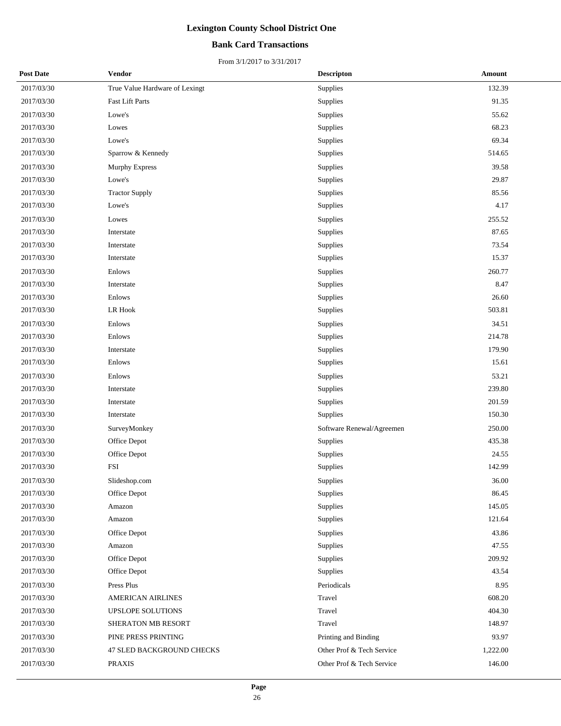## **Bank Card Transactions**

| <b>Post Date</b> | Vendor                         | <b>Descripton</b>         | Amount   |
|------------------|--------------------------------|---------------------------|----------|
| 2017/03/30       | True Value Hardware of Lexingt | Supplies                  | 132.39   |
| 2017/03/30       | <b>Fast Lift Parts</b>         | Supplies                  | 91.35    |
| 2017/03/30       | Lowe's                         | Supplies                  | 55.62    |
| 2017/03/30       | Lowes                          | Supplies                  | 68.23    |
| 2017/03/30       | Lowe's                         | Supplies                  | 69.34    |
| 2017/03/30       | Sparrow & Kennedy              | Supplies                  | 514.65   |
| 2017/03/30       | <b>Murphy Express</b>          | Supplies                  | 39.58    |
| 2017/03/30       | Lowe's                         | Supplies                  | 29.87    |
| 2017/03/30       | <b>Tractor Supply</b>          | Supplies                  | 85.56    |
| 2017/03/30       | Lowe's                         | Supplies                  | 4.17     |
| 2017/03/30       | Lowes                          | Supplies                  | 255.52   |
| 2017/03/30       | Interstate                     | Supplies                  | 87.65    |
| 2017/03/30       | Interstate                     | Supplies                  | 73.54    |
| 2017/03/30       | Interstate                     | Supplies                  | 15.37    |
| 2017/03/30       | Enlows                         | Supplies                  | 260.77   |
| 2017/03/30       | Interstate                     | Supplies                  | 8.47     |
| 2017/03/30       | Enlows                         | Supplies                  | 26.60    |
| 2017/03/30       | <b>LR Hook</b>                 | Supplies                  | 503.81   |
| 2017/03/30       | Enlows                         | Supplies                  | 34.51    |
| 2017/03/30       | Enlows                         | Supplies                  | 214.78   |
| 2017/03/30       | Interstate                     | Supplies                  | 179.90   |
| 2017/03/30       | Enlows                         | Supplies                  | 15.61    |
| 2017/03/30       | Enlows                         | Supplies                  | 53.21    |
| 2017/03/30       | Interstate                     | Supplies                  | 239.80   |
| 2017/03/30       | Interstate                     | Supplies                  | 201.59   |
| 2017/03/30       | Interstate                     | Supplies                  | 150.30   |
| 2017/03/30       | SurveyMonkey                   | Software Renewal/Agreemen | 250.00   |
| 2017/03/30       | Office Depot                   | Supplies                  | 435.38   |
| 2017/03/30       | Office Depot                   | Supplies                  | 24.55    |
| 2017/03/30       | <b>FSI</b>                     | Supplies                  | 142.99   |
| 2017/03/30       | Slideshop.com                  | Supplies                  | 36.00    |
| 2017/03/30       | Office Depot                   | Supplies                  | 86.45    |
| 2017/03/30       | Amazon                         | Supplies                  | 145.05   |
| 2017/03/30       | Amazon                         | Supplies                  | 121.64   |
| 2017/03/30       | Office Depot                   | Supplies                  | 43.86    |
| 2017/03/30       | Amazon                         | Supplies                  | 47.55    |
| 2017/03/30       | Office Depot                   | Supplies                  | 209.92   |
| 2017/03/30       | Office Depot                   | Supplies                  | 43.54    |
| 2017/03/30       | Press Plus                     | Periodicals               | 8.95     |
| 2017/03/30       | AMERICAN AIRLINES              | Travel                    | 608.20   |
| 2017/03/30       | UPSLOPE SOLUTIONS              | Travel                    | 404.30   |
| 2017/03/30       | SHERATON MB RESORT             | Travel                    | 148.97   |
| 2017/03/30       | PINE PRESS PRINTING            | Printing and Binding      | 93.97    |
| 2017/03/30       | 47 SLED BACKGROUND CHECKS      | Other Prof & Tech Service | 1,222.00 |
| 2017/03/30       | <b>PRAXIS</b>                  | Other Prof & Tech Service | 146.00   |
|                  |                                |                           |          |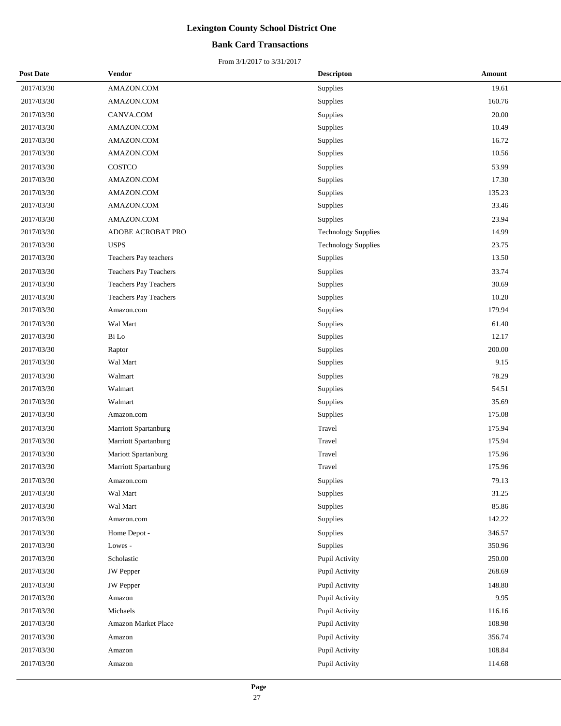## **Bank Card Transactions**

| <b>Post Date</b> | <b>Vendor</b>                | <b>Descripton</b>          | <b>Amount</b> |
|------------------|------------------------------|----------------------------|---------------|
| 2017/03/30       | AMAZON.COM                   | <b>Supplies</b>            | 19.61         |
| 2017/03/30       | AMAZON.COM                   | Supplies                   | 160.76        |
| 2017/03/30       | CANVA.COM                    | Supplies                   | 20.00         |
| 2017/03/30       | AMAZON.COM                   | Supplies                   | 10.49         |
| 2017/03/30       | AMAZON.COM                   | Supplies                   | 16.72         |
| 2017/03/30       | AMAZON.COM                   | Supplies                   | 10.56         |
| 2017/03/30       | COSTCO                       | Supplies                   | 53.99         |
| 2017/03/30       | AMAZON.COM                   | Supplies                   | 17.30         |
| 2017/03/30       | AMAZON.COM                   | Supplies                   | 135.23        |
| 2017/03/30       | AMAZON.COM                   | Supplies                   | 33.46         |
| 2017/03/30       | AMAZON.COM                   | Supplies                   | 23.94         |
| 2017/03/30       | ADOBE ACROBAT PRO            | <b>Technology Supplies</b> | 14.99         |
| 2017/03/30       | <b>USPS</b>                  | <b>Technology Supplies</b> | 23.75         |
| 2017/03/30       | Teachers Pay teachers        | Supplies                   | 13.50         |
| 2017/03/30       | <b>Teachers Pay Teachers</b> | Supplies                   | 33.74         |
| 2017/03/30       | Teachers Pay Teachers        | Supplies                   | 30.69         |
| 2017/03/30       | Teachers Pay Teachers        | Supplies                   | 10.20         |
| 2017/03/30       | Amazon.com                   | Supplies                   | 179.94        |
| 2017/03/30       | Wal Mart                     | Supplies                   | 61.40         |
| 2017/03/30       | Bi Lo                        | Supplies                   | 12.17         |
| 2017/03/30       | Raptor                       | Supplies                   | 200.00        |
| 2017/03/30       | Wal Mart                     | Supplies                   | 9.15          |
| 2017/03/30       | Walmart                      | Supplies                   | 78.29         |
| 2017/03/30       | Walmart                      | Supplies                   | 54.51         |
| 2017/03/30       | Walmart                      | Supplies                   | 35.69         |
| 2017/03/30       | Amazon.com                   | Supplies                   | 175.08        |
| 2017/03/30       | Marriott Spartanburg         | Travel                     | 175.94        |
| 2017/03/30       | Marriott Spartanburg         | Travel                     | 175.94        |
| 2017/03/30       | Mariott Spartanburg          | Travel                     | 175.96        |
| 2017/03/30       | <b>Marriott Spartanburg</b>  | Travel                     | 175.96        |
| 2017/03/30       | Amazon.com                   | Supplies                   | 79.13         |
| 2017/03/30       | Wal Mart                     | Supplies                   | 31.25         |
| 2017/03/30       | Wal Mart                     | Supplies                   | 85.86         |
| 2017/03/30       | Amazon.com                   | Supplies                   | 142.22        |
| 2017/03/30       | Home Depot -                 | Supplies                   | 346.57        |
| 2017/03/30       | Lowes -                      | Supplies                   | 350.96        |
| 2017/03/30       | Scholastic                   | Pupil Activity             | 250.00        |
| 2017/03/30       | <b>JW</b> Pepper             | Pupil Activity             | 268.69        |
| 2017/03/30       | <b>JW</b> Pepper             | Pupil Activity             | 148.80        |
| 2017/03/30       | Amazon                       | Pupil Activity             | 9.95          |
| 2017/03/30       | Michaels                     | Pupil Activity             | 116.16        |
| 2017/03/30       | Amazon Market Place          | Pupil Activity             | 108.98        |
| 2017/03/30       | Amazon                       | Pupil Activity             | 356.74        |
| 2017/03/30       | Amazon                       | Pupil Activity             | 108.84        |
| 2017/03/30       | Amazon                       | Pupil Activity             | 114.68        |
|                  |                              |                            |               |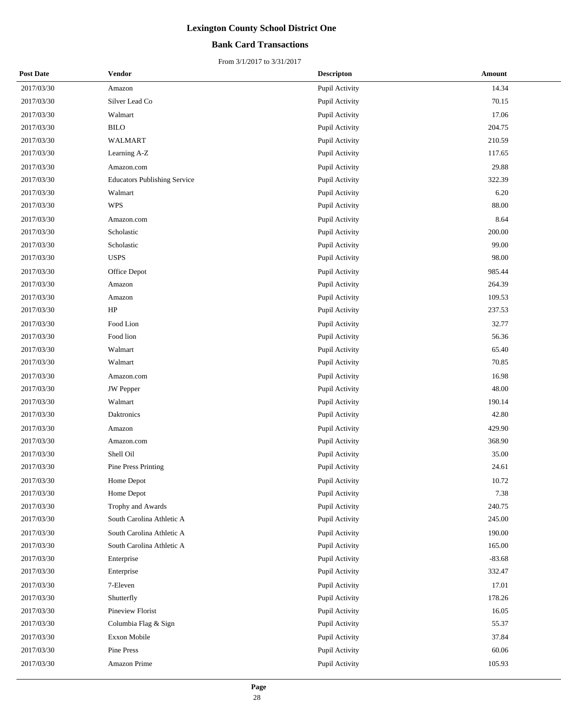## **Bank Card Transactions**

| <b>Post Date</b> | Vendor                              | <b>Descripton</b> | Amount   |
|------------------|-------------------------------------|-------------------|----------|
| 2017/03/30       | Amazon                              | Pupil Activity    | 14.34    |
| 2017/03/30       | Silver Lead Co                      | Pupil Activity    | 70.15    |
| 2017/03/30       | Walmart                             | Pupil Activity    | 17.06    |
| 2017/03/30       | <b>BILO</b>                         | Pupil Activity    | 204.75   |
| 2017/03/30       | WALMART                             | Pupil Activity    | 210.59   |
| 2017/03/30       | Learning A-Z                        | Pupil Activity    | 117.65   |
| 2017/03/30       | Amazon.com                          | Pupil Activity    | 29.88    |
| 2017/03/30       | <b>Educators Publishing Service</b> | Pupil Activity    | 322.39   |
| 2017/03/30       | Walmart                             | Pupil Activity    | 6.20     |
| 2017/03/30       | <b>WPS</b>                          | Pupil Activity    | 88.00    |
| 2017/03/30       | Amazon.com                          | Pupil Activity    | 8.64     |
| 2017/03/30       | Scholastic                          | Pupil Activity    | 200.00   |
| 2017/03/30       | Scholastic                          | Pupil Activity    | 99.00    |
| 2017/03/30       | <b>USPS</b>                         | Pupil Activity    | 98.00    |
| 2017/03/30       | Office Depot                        | Pupil Activity    | 985.44   |
| 2017/03/30       | Amazon                              | Pupil Activity    | 264.39   |
| 2017/03/30       | Amazon                              | Pupil Activity    | 109.53   |
| 2017/03/30       | HP                                  | Pupil Activity    | 237.53   |
| 2017/03/30       | Food Lion                           | Pupil Activity    | 32.77    |
| 2017/03/30       | Food lion                           | Pupil Activity    | 56.36    |
| 2017/03/30       | Walmart                             | Pupil Activity    | 65.40    |
| 2017/03/30       | Walmart                             | Pupil Activity    | 70.85    |
| 2017/03/30       | Amazon.com                          | Pupil Activity    | 16.98    |
| 2017/03/30       | JW Pepper                           | Pupil Activity    | 48.00    |
| 2017/03/30       | Walmart                             | Pupil Activity    | 190.14   |
| 2017/03/30       | Daktronics                          | Pupil Activity    | 42.80    |
| 2017/03/30       | Amazon                              | Pupil Activity    | 429.90   |
| 2017/03/30       | Amazon.com                          | Pupil Activity    | 368.90   |
| 2017/03/30       | Shell Oil                           | Pupil Activity    | 35.00    |
| 2017/03/30       | Pine Press Printing                 | Pupil Activity    | 24.61    |
| 2017/03/30       | Home Depot                          | Pupil Activity    | 10.72    |
| 2017/03/30       | Home Depot                          | Pupil Activity    | 7.38     |
| 2017/03/30       | Trophy and Awards                   | Pupil Activity    | 240.75   |
| 2017/03/30       | South Carolina Athletic A           | Pupil Activity    | 245.00   |
| 2017/03/30       | South Carolina Athletic A           | Pupil Activity    | 190.00   |
| 2017/03/30       | South Carolina Athletic A           | Pupil Activity    | 165.00   |
| 2017/03/30       | Enterprise                          | Pupil Activity    | $-83.68$ |
| 2017/03/30       | Enterprise                          | Pupil Activity    | 332.47   |
| 2017/03/30       | 7-Eleven                            | Pupil Activity    | 17.01    |
| 2017/03/30       | Shutterfly                          | Pupil Activity    | 178.26   |
| 2017/03/30       | Pineview Florist                    | Pupil Activity    | 16.05    |
| 2017/03/30       | Columbia Flag & Sign                | Pupil Activity    | 55.37    |
| 2017/03/30       | Exxon Mobile                        | Pupil Activity    | 37.84    |
| 2017/03/30       | Pine Press                          | Pupil Activity    | 60.06    |
| 2017/03/30       | Amazon Prime                        | Pupil Activity    | 105.93   |
|                  |                                     |                   |          |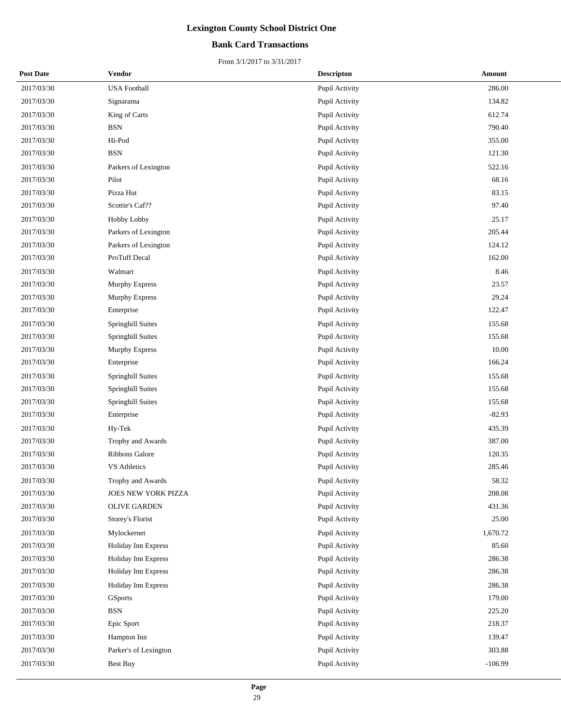## **Bank Card Transactions**

| <b>Post Date</b> | <b>Vendor</b>         | <b>Descripton</b>     | Amount    |
|------------------|-----------------------|-----------------------|-----------|
| 2017/03/30       | <b>USA Football</b>   | Pupil Activity        | 286.00    |
| 2017/03/30       | Signarama             | Pupil Activity        | 134.82    |
| 2017/03/30       | King of Carts         | Pupil Activity        | 612.74    |
| 2017/03/30       | <b>BSN</b>            | Pupil Activity        | 790.40    |
| 2017/03/30       | Hi-Pod                | Pupil Activity        | 355.00    |
| 2017/03/30       | <b>BSN</b>            | Pupil Activity        | 121.30    |
| 2017/03/30       | Parkers of Lexington  | Pupil Activity        | 522.16    |
| 2017/03/30       | Pilot                 | Pupil Activity        | 68.16     |
| 2017/03/30       | Pizza Hut             | Pupil Activity        | 83.15     |
| 2017/03/30       | Scottie's Caf??       | Pupil Activity        | 97.40     |
| 2017/03/30       | Hobby Lobby           | Pupil Activity        | 25.17     |
| 2017/03/30       | Parkers of Lexington  | Pupil Activity        | 205.44    |
| 2017/03/30       | Parkers of Lexington  | Pupil Activity        | 124.12    |
| 2017/03/30       | ProTuff Decal         | Pupil Activity        | 162.00    |
| 2017/03/30       | Walmart               | Pupil Activity        | 8.46      |
| 2017/03/30       | Murphy Express        | Pupil Activity        | 23.57     |
| 2017/03/30       | <b>Murphy Express</b> | Pupil Activity        | 29.24     |
| 2017/03/30       | Enterprise            | Pupil Activity        | 122.47    |
| 2017/03/30       | Springhill Suites     | Pupil Activity        | 155.68    |
| 2017/03/30       | Springhill Suites     | Pupil Activity        | 155.68    |
| 2017/03/30       | <b>Murphy Express</b> | Pupil Activity        | 10.00     |
| 2017/03/30       | Enterprise            | Pupil Activity        | 166.24    |
| 2017/03/30       | Springhill Suites     | Pupil Activity        | 155.68    |
| 2017/03/30       | Springhill Suites     | Pupil Activity        | 155.68    |
| 2017/03/30       | Springhill Suites     | Pupil Activity        | 155.68    |
| 2017/03/30       | Enterprise            | Pupil Activity        | $-82.93$  |
| 2017/03/30       | Hy-Tek                | Pupil Activity        | 435.39    |
| 2017/03/30       | Trophy and Awards     | Pupil Activity        | 387.00    |
| 2017/03/30       | Ribbons Galore        | Pupil Activity        | 120.35    |
| 2017/03/30       | <b>VS Athletics</b>   | <b>Pupil Activity</b> | 285.46    |
| 2017/03/30       | Trophy and Awards     | Pupil Activity        | 58.32     |
| 2017/03/30       | JOES NEW YORK PIZZA   | Pupil Activity        | 208.08    |
| 2017/03/30       | <b>OLIVE GARDEN</b>   | Pupil Activity        | 431.36    |
| 2017/03/30       | Storey's Florist      | Pupil Activity        | 25.00     |
| 2017/03/30       | Mylockernet           | Pupil Activity        | 1,670.72  |
| 2017/03/30       | Holiday Inn Express   | Pupil Activity        | 85.60     |
| 2017/03/30       | Holiday Inn Express   | Pupil Activity        | 286.38    |
| 2017/03/30       | Holiday Inn Express   | Pupil Activity        | 286.38    |
| 2017/03/30       | Holiday Inn Express   | Pupil Activity        | 286.38    |
| 2017/03/30       | GSports               | Pupil Activity        | 179.00    |
| 2017/03/30       | $_{\rm BSN}$          | Pupil Activity        | 225.20    |
| 2017/03/30       | Epic Sport            | Pupil Activity        | 218.37    |
| 2017/03/30       | Hampton Inn           | Pupil Activity        | 139.47    |
| 2017/03/30       | Parker's of Lexington | Pupil Activity        | 303.88    |
| 2017/03/30       | Best Buy              | Pupil Activity        | $-106.99$ |
|                  |                       |                       |           |